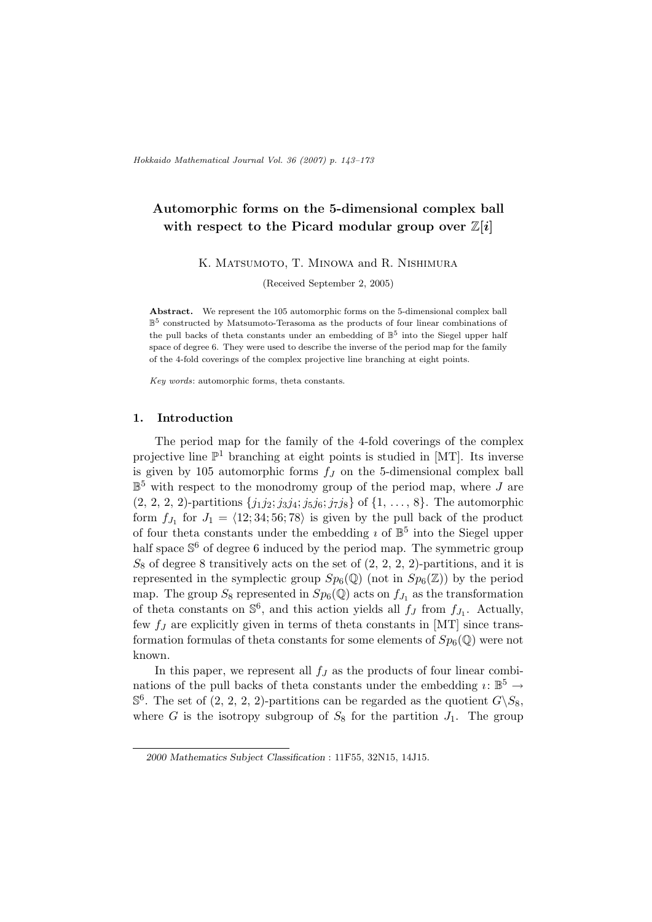# Automorphic forms on the 5-dimensional complex ball with respect to the Picard modular group over  $\mathbb{Z}[i]$

K. MATSUMOTO, T. MINOWA and R. NISHIMURA

(Received September 2, 2005)

Abstract. We represent the 105 automorphic forms on the 5-dimensional complex ball  $\mathbb{B}^5$  constructed by Matsumoto-Terasoma as the products of four linear combinations of the pull backs of theta constants under an embedding of  $\mathbb{B}^5$  into the Siegel upper half space of degree 6. They were used to describe the inverse of the period map for the family of the 4-fold coverings of the complex projective line branching at eight points.

Key words: automorphic forms, theta constants.

#### 1. Introduction

The period map for the family of the 4-fold coverings of the complex projective line  $\mathbb{P}^1$  branching at eight points is studied in [MT]. Its inverse is given by 105 automorphic forms  $f<sub>J</sub>$  on the 5-dimensional complex ball  $\mathbb{B}^5$  with respect to the monodromy group of the period map, where J are  $(2, 2, 2, 2)$ -partitions  $\{j_1 j_2; j_3 j_4; j_5 j_6; j_7 j_8\}$  of  $\{1, \ldots, 8\}$ . The automorphic form  $f_{J_1}$  for  $J_1 = \langle 12; 34; 56; 78 \rangle$  is given by the pull back of the product of four theta constants under the embedding  $\imath$  of  $\mathbb{B}^5$  into the Siegel upper half space  $\mathbb{S}^6$  of degree 6 induced by the period map. The symmetric group  $S_8$  of degree 8 transitively acts on the set of  $(2, 2, 2, 2)$ -partitions, and it is represented in the symplectic group  $Sp_6(\mathbb{Q})$  (not in  $Sp_6(\mathbb{Z})$ ) by the period map. The group  $S_8$  represented in  $Sp_6(\mathbb{Q})$  acts on  $f_{J_1}$  as the transformation of theta constants on  $\mathbb{S}^6$ , and this action yields all  $f_J$  from  $f_{J_1}$ . Actually, few  $f_J$  are explicitly given in terms of theta constants in [MT] since transformation formulas of theta constants for some elements of  $Sp_6(\mathbb{Q})$  were not known.

In this paper, we represent all  $f_J$  as the products of four linear combinations of the pull backs of theta constants under the embedding  $i: \mathbb{B}^5 \to$  $\mathbb{S}^6$ . The set of  $(2, 2, 2, 2)$ -partitions can be regarded as the quotient  $G\backslash S_8$ , where G is the isotropy subgroup of  $S_8$  for the partition  $J_1$ . The group

<sup>2000</sup> Mathematics Subject Classification : 11F55, 32N15, 14J15.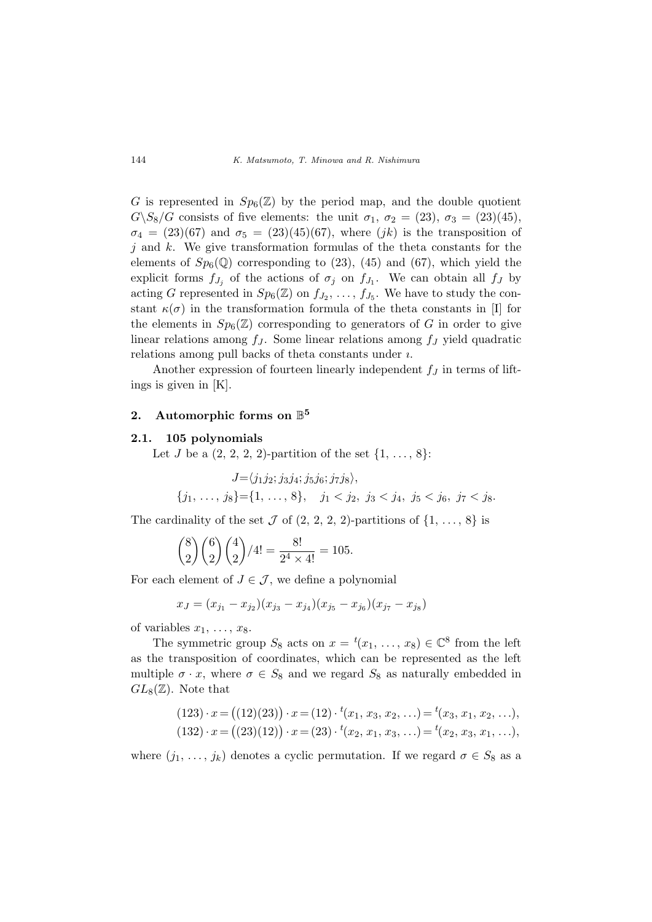G is represented in  $Sp_6(\mathbb{Z})$  by the period map, and the double quotient  $G\setminus S_8/G$  consists of five elements: the unit  $\sigma_1, \sigma_2 = (23), \sigma_3 = (23)(45),$  $\sigma_4 = (23)(67)$  and  $\sigma_5 = (23)(45)(67)$ , where  $(jk)$  is the transposition of  $j$  and  $k$ . We give transformation formulas of the theta constants for the elements of  $Sp_6(\mathbb{Q})$  corresponding to (23), (45) and (67), which yield the explicit forms  $f_{J_j}$  of the actions of  $\sigma_j$  on  $f_{J_1}$ . We can obtain all  $f_J$  by acting G represented in  $Sp_6(\mathbb{Z})$  on  $f_{J_2}, \ldots, f_{J_5}$ . We have to study the constant  $\kappa(\sigma)$  in the transformation formula of the theta constants in [I] for the elements in  $Sp_6(\mathbb{Z})$  corresponding to generators of G in order to give linear relations among  $f_J$ . Some linear relations among  $f_J$  yield quadratic relations among pull backs of theta constants under ı.

Another expression of fourteen linearly independent  $f_J$  in terms of liftings is given in [K].

# 2. Automorphic forms on  $\mathbb{B}^5$

#### 2.1. 105 polynomials

Let *J* be a  $(2, 2, 2, 2)$ -partition of the set  $\{1, ..., 8\}$ :

$$
J = \langle j_1 j_2; j_3 j_4; j_5 j_6; j_7 j_8 \rangle,
$$
  

$$
\{j_1, \ldots, j_8\} = \{1, \ldots, 8\}, \quad j_1 < j_2, \ j_3 < j_4, \ j_5 < j_6, \ j_7 < j_8.
$$

The cardinality of the set  $\mathcal J$  of  $(2, 2, 2, 2)$ -partitions of  $\{1, \ldots, 8\}$  is

$$
\binom{8}{2}\binom{6}{2}\binom{4}{2}/4! = \frac{8!}{2^4 \times 4!} = 105.
$$

For each element of  $J \in \mathcal{J}$ , we define a polynomial

$$
x_J = (x_{j_1} - x_{j_2})(x_{j_3} - x_{j_4})(x_{j_5} - x_{j_6})(x_{j_7} - x_{j_8})
$$

of variables  $x_1, \ldots, x_8$ .

The symmetric group  $S_8$  acts on  $x = {}^t(x_1, \ldots, x_8) \in \mathbb{C}^8$  from the left as the transposition of coordinates, which can be represented as the left multiple  $\sigma \cdot x$ , where  $\sigma \in S_8$  and we regard  $S_8$  as naturally embedded in  $GL_8(\mathbb{Z})$ . Note that

$$
(123) \cdot x = ((12)(23)) \cdot x = (12) \cdot ^t(x_1, x_3, x_2, \ldots) = ^t(x_3, x_1, x_2, \ldots),
$$
  

$$
(132) \cdot x = ((23)(12)) \cdot x = (23) \cdot ^t(x_2, x_1, x_3, \ldots) = ^t(x_2, x_3, x_1, \ldots),
$$

where  $(j_1, \ldots, j_k)$  denotes a cyclic permutation. If we regard  $\sigma \in S_8$  as a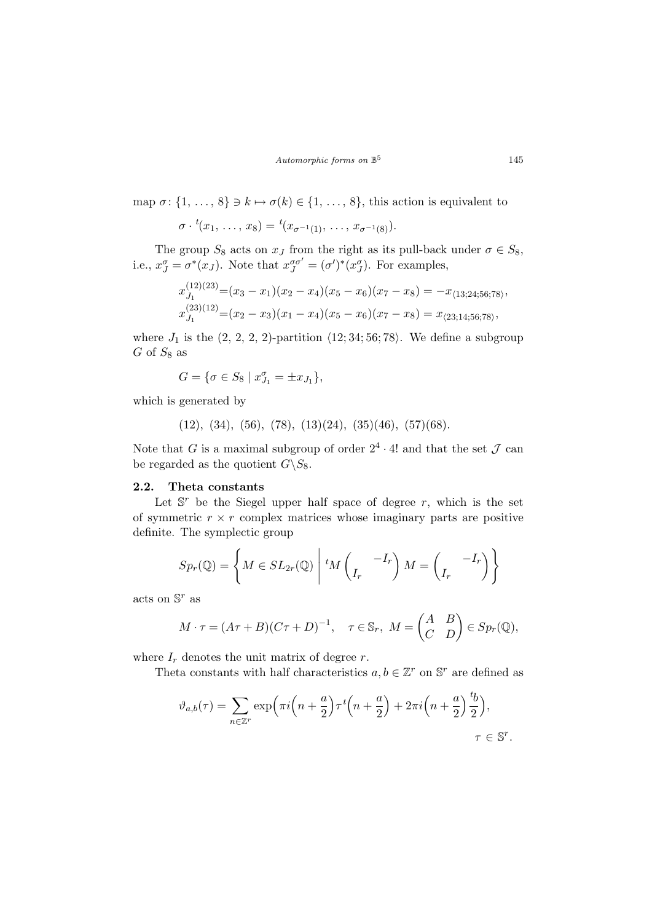map  $\sigma$ :  $\{1, \ldots, 8\} \ni k \mapsto \sigma(k) \in \{1, \ldots, 8\}$ , this action is equivalent to

$$
\sigma \cdot {}^t(x_1, \ldots, x_8) = {}^t(x_{\sigma^{-1}(1)}, \ldots, x_{\sigma^{-1}(8)}).
$$

The group  $S_8$  acts on  $x_J$  from the right as its pull-back under  $\sigma \in S_8$ , i.e.,  $x_J^{\sigma} = \sigma^*(x_J)$ . Note that  $x_J^{\sigma\sigma'} = (\sigma')^*(x_J^{\sigma})$ . For examples,

$$
x_{J_1}^{(12)(23)} = (x_3 - x_1)(x_2 - x_4)(x_5 - x_6)(x_7 - x_8) = -x_{\langle 13; 24; 56; 78 \rangle},
$$
  

$$
x_{J_1}^{(23)(12)} = (x_2 - x_3)(x_1 - x_4)(x_5 - x_6)(x_7 - x_8) = x_{\langle 23; 14; 56; 78 \rangle},
$$

where  $J_1$  is the  $(2, 2, 2, 2)$ -partition  $\langle 12; 34; 56; 78 \rangle$ . We define a subgroup  $G$  of  $S_8$  as

$$
G = \{ \sigma \in S_8 \mid x_{J_1}^{\sigma} = \pm x_{J_1} \},\
$$

which is generated by

$$
(12), (34), (56), (78), (13)(24), (35)(46), (57)(68).
$$

Note that G is a maximal subgroup of order  $2^4 \cdot 4!$  and that the set  $\mathcal J$  can be regarded as the quotient  $G\backslash S_8$ .

#### 2.2. Theta constants

Let  $\mathbb{S}^r$  be the Siegel upper half space of degree r, which is the set of symmetric  $r \times r$  complex matrices whose imaginary parts are positive definite. The symplectic group

$$
Sp_r(\mathbb{Q}) = \left\{ M \in SL_{2r}(\mathbb{Q}) \mid {}^t M \begin{pmatrix} & -I_r \\ I_r & \end{pmatrix} M = \begin{pmatrix} & -I_r \\ I_r & \end{pmatrix} \right\}
$$

acts on  $\mathbb{S}^r$  as

$$
M \cdot \tau = (A\tau + B)(C\tau + D)^{-1}, \quad \tau \in \mathbb{S}_r, \ M = \begin{pmatrix} A & B \\ C & D \end{pmatrix} \in Sp_r(\mathbb{Q}),
$$

where  $I_r$  denotes the unit matrix of degree r.

Theta constants with half characteristics  $a, b \in \mathbb{Z}^r$  on  $\mathbb{S}^r$  are defined as

$$
\vartheta_{a,b}(\tau) = \sum_{n \in \mathbb{Z}^r} \exp\left(\pi i \left(n + \frac{a}{2}\right) \tau^t \left(n + \frac{a}{2}\right) + 2\pi i \left(n + \frac{a}{2}\right) \frac{t_b}{2}\right),
$$
  

$$
\tau \in \mathbb{S}^r.
$$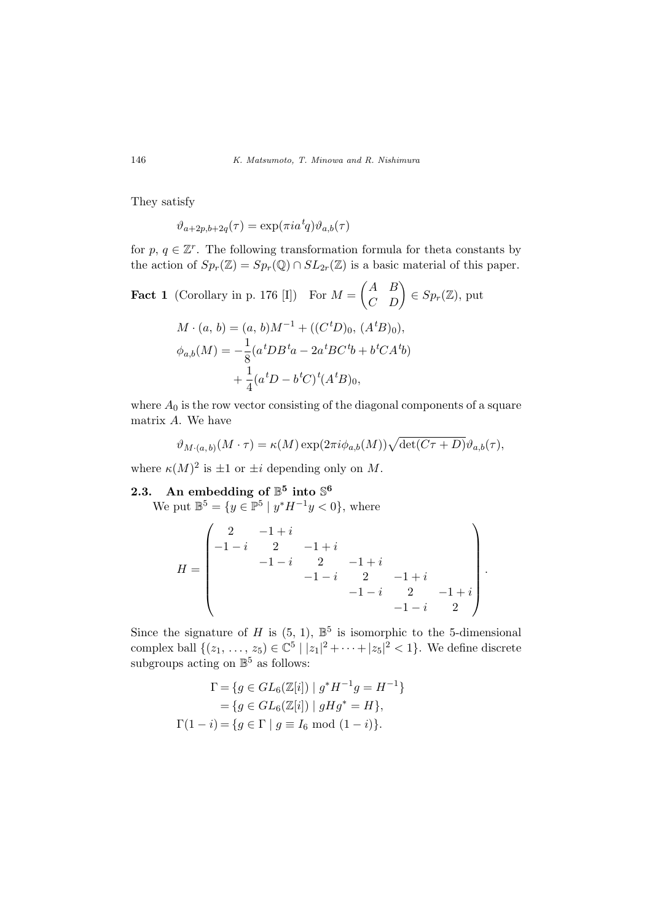They satisfy

 $\vartheta_{a+2p,b+2q}(\tau) = \exp(\pi i a^t q) \vartheta_{a,b}(\tau)$ 

for  $p, q \in \mathbb{Z}^r$ . The following transformation formula for theta constants by the action of  $Sp_r(\mathbb{Z}) = Sp_r(\mathbb{Q}) \cap SL_{2r}(\mathbb{Z})$  is a basic material of this paper.

**Fact 1** (Corollary in p. 176 [I]) For  $M =$  $\overline{a}$ A B  $\begin{pmatrix} A & B \\ C & D \end{pmatrix} \in Sp_r(\mathbb{Z}),$  put

$$
M \cdot (a, b) = (a, b)M^{-1} + ((C^t D)_0, (A^t B)_0),
$$
  
\n
$$
\phi_{a,b}(M) = -\frac{1}{8}(a^t DB^t a - 2a^t BC^t b + b^t CA^t b)
$$
  
\n
$$
+ \frac{1}{4}(a^t D - b^t C)^t (A^t B)_0,
$$

where  $A_0$  is the row vector consisting of the diagonal components of a square matrix A. We have

$$
\vartheta_{M \cdot (a,b)}(M \cdot \tau) = \kappa(M) \exp(2\pi i \phi_{a,b}(M)) \sqrt{\det(C\tau + D)} \vartheta_{a,b}(\tau),
$$

where  $\kappa(M)^2$  is  $\pm 1$  or  $\pm i$  depending only on M.

# 2.3. An embedding of  $\mathbb{B}^5$  into  $\mathbb{S}^6$

We put  $\mathbb{B}^5 = \{y \in \mathbb{P}^5 \mid y^* H^{-1} y < 0\}$ , where

$$
H = \begin{pmatrix} 2 & -1+i & & & \\ -1-i & 2 & -1+i & & \\ & -1-i & 2 & -1+i & \\ & & -1-i & 2 & -1+i & \\ & & & -1-i & 2 & -1+i \\ & & & & -1-i & 2 \end{pmatrix}.
$$

Since the signature of H is  $(5, 1)$ ,  $\mathbb{B}^5$  is isomorphic to the 5-dimensional complex ball  $\{(z_1, ..., z_5) \in \mathbb{C}^5 \mid |z_1|^2 + \cdots + |z_5|^2 < 1\}$ . We define discrete subgroups acting on  $\mathbb{B}^5$  as follows:

$$
\Gamma = \{ g \in GL_6(\mathbb{Z}[i]) \mid g^* H^{-1} g = H^{-1} \}
$$
  
=  $\{ g \in GL_6(\mathbb{Z}[i]) \mid g H g^* = H \},$   

$$
\Gamma(1 - i) = \{ g \in \Gamma \mid g \equiv I_6 \text{ mod } (1 - i) \}.
$$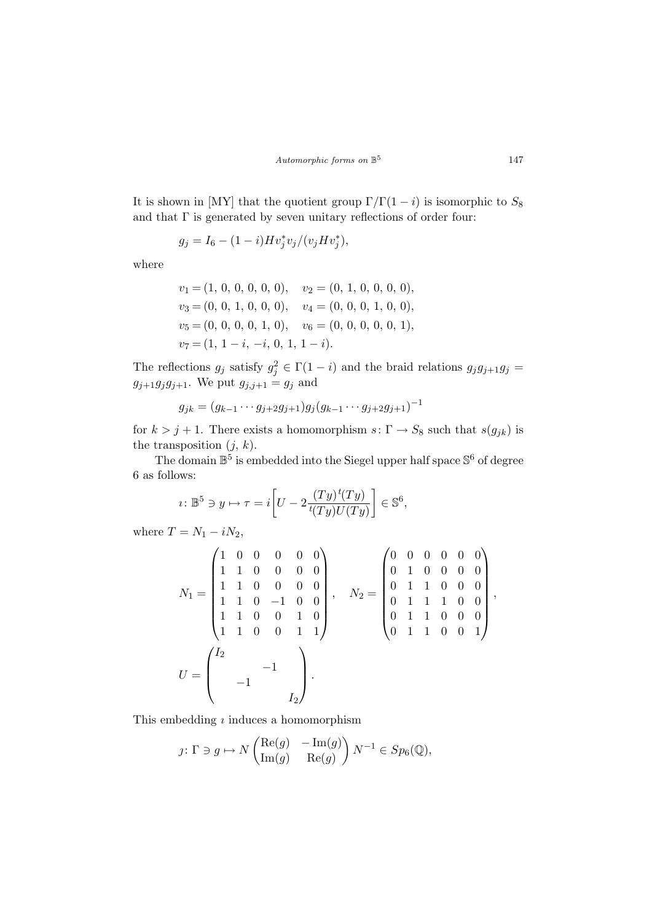Automorphic forms on  $\mathbb{B}^5$ 

It is shown in [MY] that the quotient group  $\Gamma/\Gamma(1-i)$  is isomorphic to  $S_8$ and that  $\Gamma$  is generated by seven unitary reflections of order four:

$$
g_j = I_6 - (1 - i) H v_j^* v_j / (v_j H v_j^*),
$$

where

$$
v_1 = (1, 0, 0, 0, 0, 0), v_2 = (0, 1, 0, 0, 0, 0),
$$
  
\n
$$
v_3 = (0, 0, 1, 0, 0, 0), v_4 = (0, 0, 0, 1, 0, 0),
$$
  
\n
$$
v_5 = (0, 0, 0, 0, 1, 0), v_6 = (0, 0, 0, 0, 1),
$$
  
\n
$$
v_7 = (1, 1 - i, -i, 0, 1, 1 - i).
$$

The reflections  $g_j$  satisfy  $g_j^2 \in \Gamma(1-i)$  and the braid relations  $g_j g_{j+1} g_j =$  $g_{j+1}g_jg_{j+1}$ . We put  $g_{j,j+1} = g_j$  and

$$
g_{jk} = (g_{k-1} \cdots g_{j+2} g_{j+1}) g_j (g_{k-1} \cdots g_{j+2} g_{j+1})^{-1}
$$

for  $k > j + 1$ . There exists a homomorphism  $s: \Gamma \to S_8$  such that  $s(g_{jk})$  is the transposition  $(j, k)$ .

The domain  $\mathbb{B}^5$  is embedded into the Siegel upper half space  $\mathbb{S}^6$  of degree 6 as follows:

$$
i: \mathbb{B}^5 \ni y \mapsto \tau = i \bigg[ U - 2 \frac{(Ty)^t(Ty)}{t(Ty)U(Ty)} \bigg] \in \mathbb{S}^6,
$$

where  $T = N_1 - iN_2$ ,

$$
N_1 = \begin{pmatrix} 1 & 0 & 0 & 0 & 0 & 0 \\ 1 & 1 & 0 & 0 & 0 & 0 \\ 1 & 1 & 0 & 0 & 0 & 0 \\ 1 & 1 & 0 & -1 & 0 & 0 \\ 1 & 1 & 0 & 0 & 1 & 0 \\ 1 & 1 & 0 & 0 & 1 & 1 \end{pmatrix}, \quad N_2 = \begin{pmatrix} 0 & 0 & 0 & 0 & 0 & 0 \\ 0 & 1 & 0 & 0 & 0 & 0 \\ 0 & 1 & 1 & 0 & 0 & 0 \\ 0 & 1 & 1 & 1 & 0 & 0 \\ 0 & 1 & 1 & 0 & 0 & 0 \\ 0 & 1 & 1 & 0 & 0 & 1 \end{pmatrix},
$$

$$
U = \begin{pmatrix} I_2 \\ -1 \\ -1 \\ I_2 \end{pmatrix}.
$$

This embedding  $\imath$  induces a homomorphism

$$
\jmath\colon \Gamma\ni g\mapsto N\begin{pmatrix}\mathrm{Re}(g)&-\mathrm{Im}(g)\\ \mathrm{Im}(g)&\mathrm{Re}(g)\end{pmatrix}N^{-1}\in Sp_6(\mathbb{Q}),
$$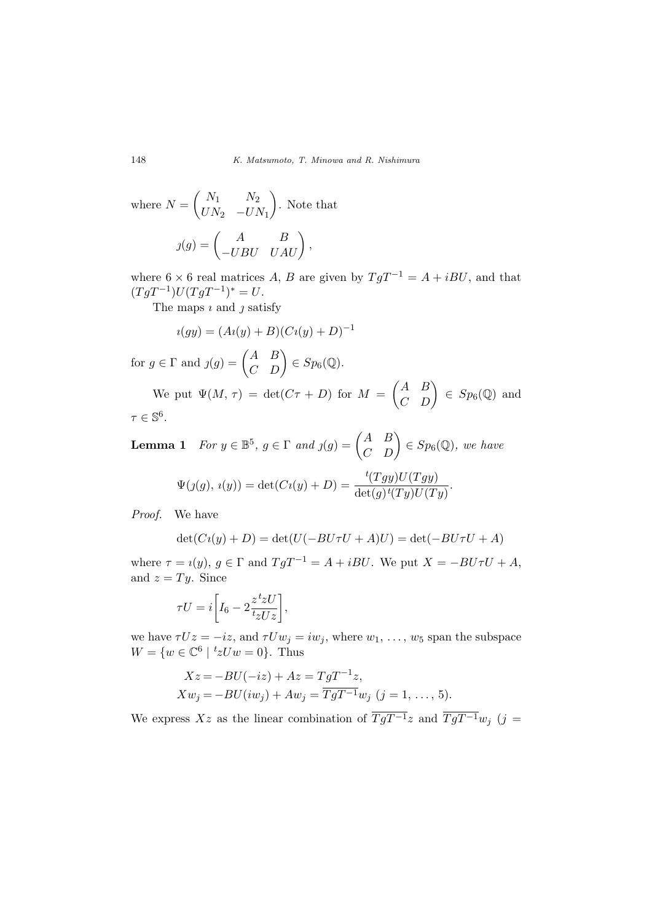where 
$$
N = \begin{pmatrix} N_1 & N_2 \\ UN_2 & -UN_1 \end{pmatrix}
$$
. Note that  

$$
j(g) = \begin{pmatrix} A & B \\ -UBU & UAU \end{pmatrix},
$$

where 6 × 6 real matrices A, B are given by  $TgT^{-1} = A + iBU$ , and that  $(TgT^{-1})U(TgT^{-1})^* = U.$ 

The maps  $\iota$  and  $\iota$  satisfy

$$
i(gy) = (Ai(y) + B)(Ci(y) + D)^{-1}
$$

for  $g \in \Gamma$  and  $g(g) = \begin{pmatrix} A & B \\ C & D \end{pmatrix}$  $\begin{pmatrix} A & B \\ C & D \end{pmatrix} \in Sp_6(\mathbb{Q}).$ 

We put  $\Psi(M, \tau) = \det(C\tau + D)$  for  $M =$ A B  $\begin{pmatrix} A & B \\ C & D \end{pmatrix} \in Sp_6(\mathbb{Q})$  and  $\tau \in \mathbb{S}^6$ .

 $\overline{a}$ 

**Lemma 1** For  $y \in \mathbb{B}^5$ ,  $g \in \Gamma$  and  $y(g) = \begin{pmatrix} A & B \\ C & D \end{pmatrix}$  $\begin{pmatrix} A & B \\ C & D \end{pmatrix} \in Sp_6(\mathbb{Q}),$  we have

$$
\Psi(g(g), i(y)) = \det(Ci(y) + D) = \frac{t(Tgy)U(Tgy)}{\det(g)t(Ty)U(Ty)}.
$$

Proof. We have

$$
\det(Ci(y) + D) = \det(U(-BU\tau U + A)U) = \det(-BU\tau U + A)
$$

where  $\tau = i(y)$ ,  $g \in \Gamma$  and  $TgT^{-1} = A + iBU$ . We put  $X = -BU\tau U + A$ , and  $z = Ty$ . Since

$$
\tau U = i \bigg[ I_6 - 2 \frac{z^t z U}{t_z U z} \bigg],
$$

we have  $\tau Uz = -iz$ , and  $\tau Uw_j = iw_j$ , where  $w_1, \ldots, w_5$  span the subspace  $W = \{w \in \mathbb{C}^6 \mid {}^t z U w = 0\}.$  Thus

$$
Xz = -BU(-iz) + Az = TgT^{-1}z,
$$
  
\n
$$
Xw_j = -BU(iw_j) + Aw_j = \overline{TgT^{-1}}w_j \ (j = 1, ..., 5).
$$

We express Xz as the linear combination of  $\overline{TgT^{-1}}z$  and  $\overline{TgT^{-1}}w_j$  (j =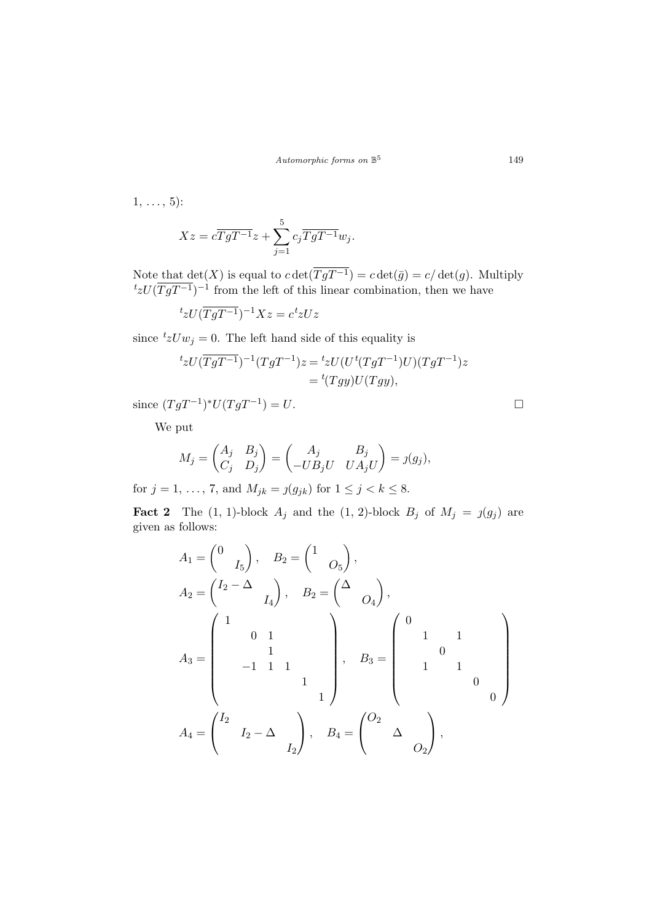1, ..., 5):  
\n
$$
Xz = c\overline{TgT^{-1}}z + \sum_{j=1}^{5} c_j \overline{TgT^{-1}}w_j.
$$

Note that  $\det(X)$  is equal to  $c \det(TgT^{-1}) = c \det(\bar{g}) = c/\det(g)$ . Multiply  $t_z U(\overline{TgT^{-1}})^{-1}$  from the left of this linear combination, then we have

$$
{}^t z U (\overline{TgT^{-1}})^{-1} X z = c {}^t z U z
$$

since  ${}^t z U w_j = 0$ . The left hand side of this equality is

$$
t_zU(\overline{TgT^{-1}})^{-1}(TgT^{-1})z = t_zU(U^t(TgT^{-1})U)(TgT^{-1})z
$$
  
= 
$$
{}^t(Tgy)U(Tgy),
$$

since  $(TgT^{-1})^*U(TgT^{-1}) = U$ . □

We put

$$
M_j = \begin{pmatrix} A_j & B_j \\ C_j & D_j \end{pmatrix} = \begin{pmatrix} A_j & B_j \\ -UB_jU & UA_jU \end{pmatrix} = j(g_j),
$$

for  $j = 1, ..., 7$ , and  $M_{jk} = j(g_{jk})$  for  $1 \le j < k \le 8$ .

**Fact 2** The (1, 1)-block  $A_j$  and the (1, 2)-block  $B_j$  of  $M_j = j(g_j)$  are given as follows:

$$
A_1 = \begin{pmatrix} 0 & 0 \\ 0 & I_5 \end{pmatrix}, \quad B_2 = \begin{pmatrix} 1 & 0 \\ 0 & 0 \end{pmatrix},
$$
  
\n
$$
A_2 = \begin{pmatrix} I_2 - \Delta & 0 \\ 0 & 1 \end{pmatrix}, \quad B_3 = \begin{pmatrix} 0 & 0 \\ 0 & 1 \end{pmatrix},
$$
  
\n
$$
A_4 = \begin{pmatrix} I_2 & 0 & 0 \\ 0 & 1 & 0 \\ 0 & 1 & 1 \end{pmatrix}, \quad B_5 = \begin{pmatrix} 0 & 0 & 0 \\ 0 & 0 & 0 \\ 0 & 0 & 0 \end{pmatrix}
$$
  
\n
$$
A_4 = \begin{pmatrix} I_2 & 0 & 0 \\ 0 & I_2 - \Delta & 0 \\ 0 & 0 & 0 \end{pmatrix}, \quad B_4 = \begin{pmatrix} 0_2 & 0 & 0 \\ 0 & 0 & 0 \\ 0 & 0 & 0 \end{pmatrix},
$$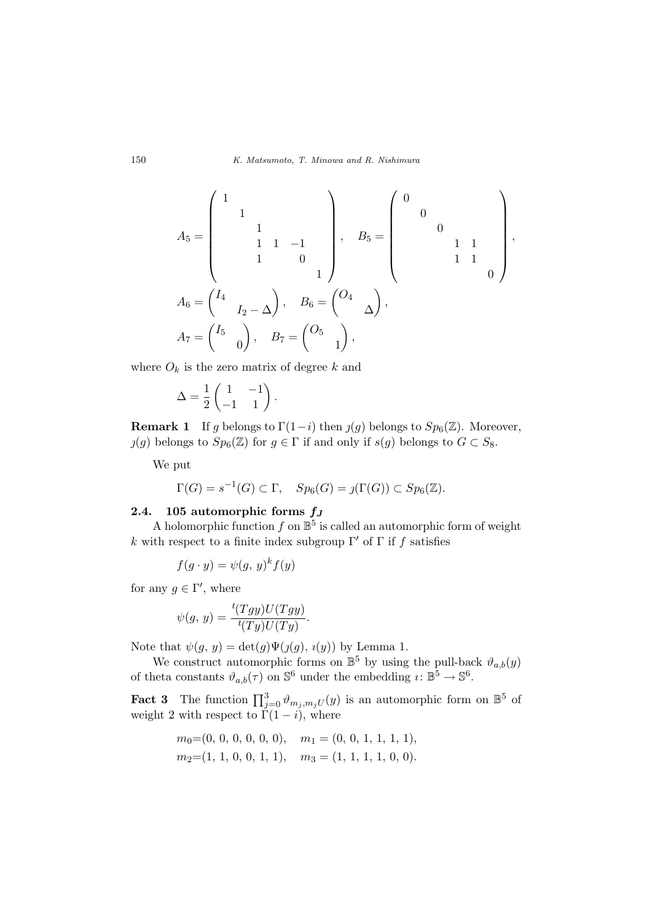$$
A_5 = \begin{pmatrix} 1 & & & & \\ & 1 & & & & \\ & & 1 & 1 & -1 & \\ & & 1 & 1 & -1 & \\ & & 1 & 0 & \\ & & & & 1 \end{pmatrix}, \quad B_5 = \begin{pmatrix} 0 & & & & \\ & 0 & & & \\ & & 1 & 1 & \\ & & & 1 & 1 \\ & & & & 0 \end{pmatrix},
$$

$$
A_6 = \begin{pmatrix} I_4 & & & \\ & I_2 - \Delta \end{pmatrix}, \quad B_6 = \begin{pmatrix} O_4 & & \\ & \Delta \end{pmatrix},
$$

$$
A_7 = \begin{pmatrix} I_5 & & \\ & 0 \end{pmatrix}, \quad B_7 = \begin{pmatrix} O_5 & & \\ & 1 \end{pmatrix},
$$

where  $O_k$  is the zero matrix of degree k and

$$
\Delta = \frac{1}{2} \begin{pmatrix} 1 & -1 \\ -1 & 1 \end{pmatrix}.
$$

**Remark 1** If g belongs to  $\Gamma(1-i)$  then  $j(g)$  belongs to  $Sp_6(\mathbb{Z})$ . Moreover,  $(g)$  belongs to  $Sp_6(\mathbb{Z})$  for  $g \in \Gamma$  if and only if  $s(g)$  belongs to  $G \subset S_8$ .

We put

$$
\Gamma(G) = s^{-1}(G) \subset \Gamma, \quad Sp_6(G) = \jmath(\Gamma(G)) \subset Sp_6(\mathbb{Z}).
$$

### 2.4. 105 automorphic forms  $f_J$

A holomorphic function  $f$  on  $\mathbb{B}^5$  is called an automorphic form of weight k with respect to a finite index subgroup Γ' of Γ if f satisfies

$$
f(g \cdot y) = \psi(g, y)^k f(y)
$$

for any  $g \in \Gamma'$ , where

$$
\psi(g, y) = \frac{t(Tgy)U(Tgy)}{t(Ty)U(Ty)}.
$$

Note that  $\psi(g, y) = \det(g)\Psi(j(g), i(y))$  by Lemma 1.

We construct automorphic forms on  $\mathbb{B}^5$  by using the pull-back  $\vartheta_{a,b}(y)$ of theta constants  $\vartheta_{a,b}(\tau)$  on  $\mathbb{S}^6$  under the embedding  $\imath \colon \mathbb{B}^5 \to \mathbb{S}^6$ .

**Fact 3** The function  $\prod_{j=0}^{3} \vartheta_{m_j, m_j} U(y)$  is an automorphic form on  $\mathbb{B}^5$  of weight 2 with respect to  $\Gamma(1-i)$ , where

$$
m_0=(0, 0, 0, 0, 0, 0), m_1=(0, 0, 1, 1, 1, 1),
$$
  
\n $m_2=(1, 1, 0, 0, 1, 1), m_3=(1, 1, 1, 1, 0, 0).$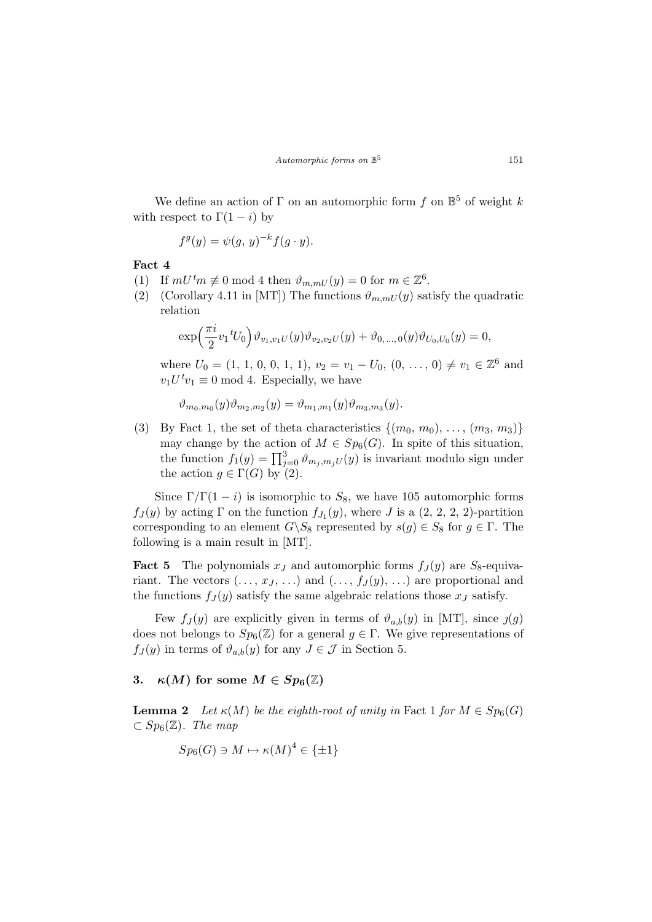We define an action of  $\Gamma$  on an automorphic form f on  $\mathbb{B}^5$  of weight k with respect to  $\Gamma(1-i)$  by

$$
f^g(y) = \psi(g, y)^{-k} f(g \cdot y).
$$

Fact 4

- (1) If  $mU^tm \not\equiv 0 \mod 4$  then  $\vartheta_{m,mU}(y) = 0$  for  $m \in \mathbb{Z}^6$ .
- (2) (Corollary 4.11 in [MT]) The functions  $\vartheta_{m,mU}(y)$  satisfy the quadratic relation

$$
\exp\left(\frac{\pi i}{2}v_1{}^tU_0\right)\vartheta_{v_1,v_1U}(y)\vartheta_{v_2,v_2U}(y)+\vartheta_{0,\ldots,0}(y)\vartheta_{U_0,U_0}(y)=0,
$$

where  $U_0 = (1, 1, 0, 0, 1, 1), v_2 = v_1 - U_0, (0, \ldots, 0) \neq v_1 \in \mathbb{Z}^6$  and  $v_1 U^t v_1 \equiv 0 \text{ mod } 4.$  Especially, we have

$$
\vartheta_{m_0,m_0}(y)\vartheta_{m_2,m_2}(y) = \vartheta_{m_1,m_1}(y)\vartheta_{m_3,m_3}(y).
$$

(3) By Fact 1, the set of theta characteristics  $\{(m_0, m_0), \ldots, (m_3, m_3)\}\$ may change by the action of  $M \in Sp_6(G)$ . In spite of this situation, the function  $f_1(y) = \prod_{j=0}^3 \vartheta_{m_j, m_j U}(y)$  is invariant modulo sign under the action  $g \in \Gamma(G)$  by (2).

Since  $\Gamma/\Gamma(1-i)$  is isomorphic to  $S_8$ , we have 105 automorphic forms  $f_J(y)$  by acting  $\Gamma$  on the function  $f_{J_1}(y)$ , where  $J$  is a  $(2, 2, 2, 2)$ -partition corresponding to an element  $G\backslash S_8$  represented by  $s(g) \in S_8$  for  $g \in \Gamma$ . The following is a main result in [MT].

**Fact 5** The polynomials  $x_J$  and automorphic forms  $f_J(y)$  are  $S_8$ -equivariant. The vectors  $(\ldots, x_J, \ldots)$  and  $(\ldots, f_J(y), \ldots)$  are proportional and the functions  $f_J(y)$  satisfy the same algebraic relations those  $x_J$  satisfy.

Few  $f_J(y)$  are explicitly given in terms of  $\vartheta_{a,b}(y)$  in [MT], since  $\iota(g)$ does not belongs to  $Sp_6(\mathbb{Z})$  for a general  $g \in \Gamma$ . We give representations of  $f_J(y)$  in terms of  $\vartheta_{a,b}(y)$  for any  $J \in \mathcal{J}$  in Section 5.

#### 3.  $\kappa(M)$  for some  $M \in Sp_6(\mathbb{Z})$

**Lemma 2** Let  $\kappa(M)$  be the eighth-root of unity in Fact 1 for  $M \in Sp_6(G)$  $\subset Sp_6(\mathbb{Z})$ . The map

$$
Sp_6(G) \ni M \mapsto \kappa(M)^4 \in \{\pm 1\}
$$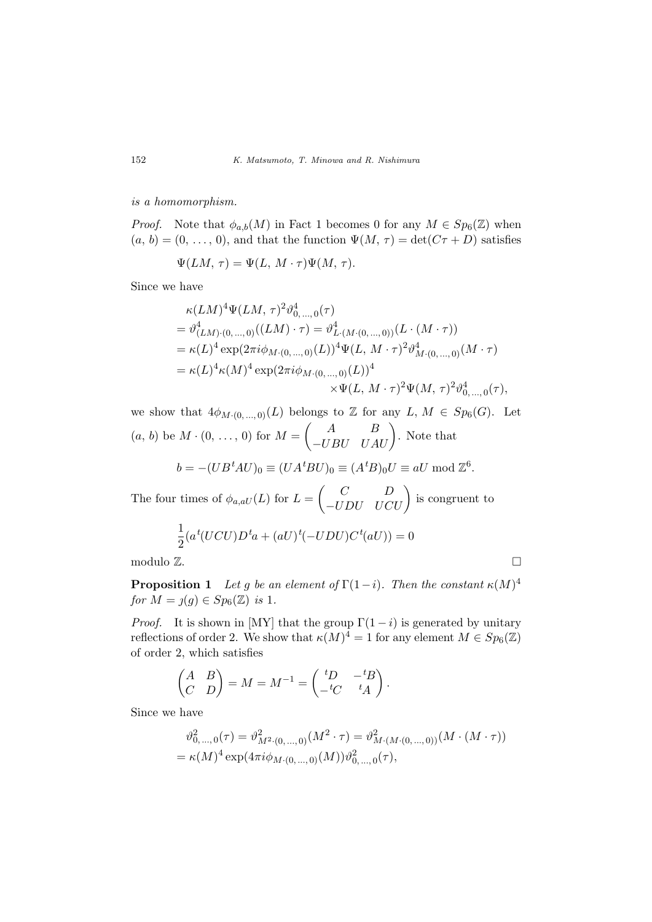is a homomorphism.

*Proof.* Note that  $\phi_{a,b}(M)$  in Fact 1 becomes 0 for any  $M \in Sp_6(\mathbb{Z})$  when  $(a, b) = (0, \ldots, 0)$ , and that the function  $\Psi(M, \tau) = \det(C\tau + D)$  satisfies

$$
\Psi(LM, \tau) = \Psi(L, M \cdot \tau)\Psi(M, \tau).
$$

Since we have

$$
\kappa(LM)^{4}\Psi(LM, \tau)^{2}\vartheta_{0,\ldots,0}^{4}(\tau)
$$
\n
$$
= \vartheta_{(LM)\cdot(0,\ldots,0)}^{4}((LM)\cdot\tau) = \vartheta_{L\cdot(M\cdot(0,\ldots,0))}^{4}(L\cdot(M\cdot\tau))
$$
\n
$$
= \kappa(L)^{4}\exp(2\pi i\phi_{M\cdot(0,\ldots,0)}(L))^{4}\Psi(L, M\cdot\tau)^{2}\vartheta_{M\cdot(0,\ldots,0)}^{4}(M\cdot\tau)
$$
\n
$$
= \kappa(L)^{4}\kappa(M)^{4}\exp(2\pi i\phi_{M\cdot(0,\ldots,0)}(L))^{4}
$$
\n
$$
\times \Psi(L, M\cdot\tau)^{2}\Psi(M, \tau)^{2}\vartheta_{0,\ldots,0}^{4}(\tau),
$$

we show that  $4\phi_{M \cdot (0, ..., 0)}(L)$  belongs to  $\mathbb{Z}$  for any  $L, M \in Sp_6(G)$ . Let  $(a, b)$  be  $M \cdot (0, \ldots, 0)$  for  $M = \begin{pmatrix} A & B \\ J \cdot D \cdot I & I \end{pmatrix}$  $\begin{pmatrix} A & B \\ -UBU & UAU \end{pmatrix}$ . Note that

$$
b = -(UBtAU)0 \equiv (UAtBU)0 \equiv (AtB)0U \equiv aU \bmod \mathbb{Z}6.
$$

The four times of  $\phi_{a,aU}(L)$  for  $L =$  $C$   $D$  $\begin{pmatrix} C & D \\ -UDU & UCU \end{pmatrix}$  is congruent to

$$
\frac{1}{2}(a^t(UCU)D^ta + (aU)^t(-UDU)C^t(aU)) = 0
$$

modulo  $\mathbb{Z}$ .

**Proposition 1** Let g be an element of  $\Gamma(1-i)$ . Then the constant  $\kappa(M)^4$ for  $M = \jmath(g) \in Sp_6(\mathbb{Z})$  is 1.

*Proof.* It is shown in [MY] that the group  $\Gamma(1-i)$  is generated by unitary reflections of order 2. We show that  $\kappa(M)^4 = 1$  for any element  $M \in Sp_6(\mathbb{Z})$ of order 2, which satisfies

$$
\begin{pmatrix} A & B \\ C & D \end{pmatrix} = M = M^{-1} = \begin{pmatrix} {}^tD & -{}^tB \\ -{}^tC & {}^tA \end{pmatrix}
$$

Since we have

$$
\vartheta_{0,\ldots,0}^{2}(\tau) = \vartheta_{M^{2}\cdot(0,\ldots,0)}^{2}(M^{2}\cdot\tau) = \vartheta_{M\cdot(M\cdot(0,\ldots,0))}^{2}(M\cdot(M\cdot\tau))
$$
  
=  $\kappa(M)^{4}\exp(4\pi i\phi_{M\cdot(0,\ldots,0)}(M))\vartheta_{0,\ldots,0}^{2}(\tau),$ 

.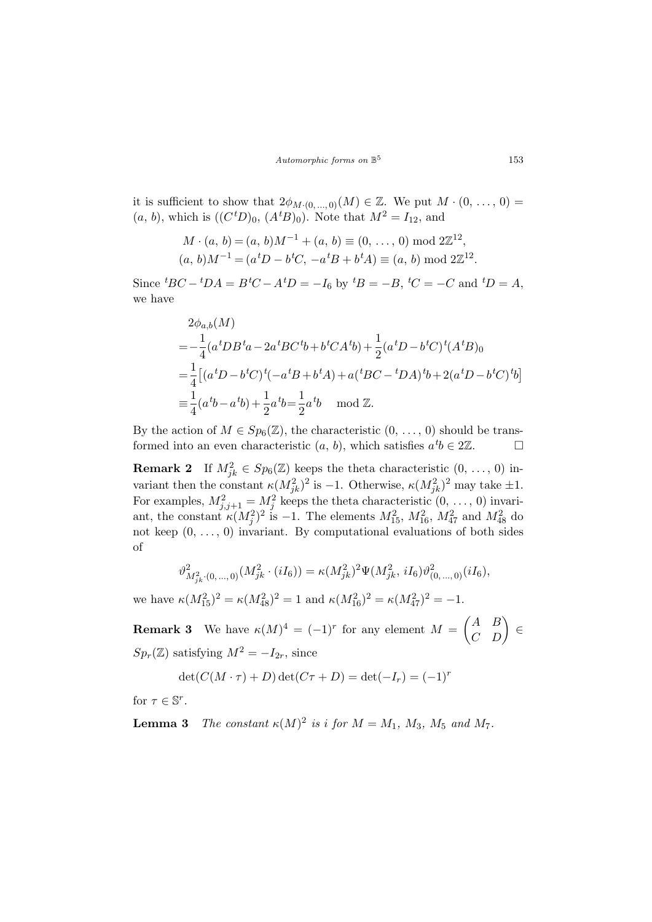Automorphic forms on  $\mathbb{B}^5$ 

it is sufficient to show that  $2\phi_{M\cdot(0,\ldots,0)}(M) \in \mathbb{Z}$ . We put  $M\cdot(0,\ldots,0)$  =  $(a, b)$ , which is  $((C^t D)_0, (A^t B)_0)$ . Note that  $M^2 = I_{12}$ , and

$$
M \cdot (a, b) = (a, b)M^{-1} + (a, b) \equiv (0, \dots, 0) \mod 2\mathbb{Z}^{12},
$$
  

$$
(a, b)M^{-1} = (a^tD - b^tC, -a^tB + b^tA) \equiv (a, b) \mod 2\mathbb{Z}^{12}.
$$

Since  ${}^{t}BC - {}^{t}DA = B {}^{t}C - A {}^{t}D = -I_6$  by  ${}^{t}B = -B$ ,  ${}^{t}C = -C$  and  ${}^{t}D = A$ , we have

$$
2\phi_{a,b}(M)
$$
  
=  $-\frac{1}{4}(a^t DB^t a - 2a^t BC^t b + b^t CA^t b) + \frac{1}{2}(a^t D - b^t C)^t (A^t B)_0$   
=  $\frac{1}{4}[(a^t D - b^t C)^t (-a^t B + b^t A) + a(^t BC - {}^t DA)^t b + 2(a^t D - b^t C)^t b]$   
=  $\frac{1}{4}(a^t b - a^t b) + \frac{1}{2}a^t b = \frac{1}{2}a^t b \mod \mathbb{Z}.$ 

By the action of  $M \in Sp_6(\mathbb{Z})$ , the characteristic  $(0, \ldots, 0)$  should be transformed into an even characteristic  $(a, b)$ , which satisfies  $a^t b \in 2\mathbb{Z}$ .

**Remark 2** If  $M_{jk}^2 \in Sp_6(\mathbb{Z})$  keeps the theta characteristic  $(0, \ldots, 0)$  invariant then the constant  $\kappa (M_{jk}^2)^2$  is -1. Otherwise,  $\kappa (M_{jk}^2)^2$  may take  $\pm 1$ . For examples,  $M_{j,j+1}^2 = M_j^2$  keeps the theta characteristic  $(0, \ldots, 0)$  invariant, the constant  $\kappa(M_j^2)^2$  is -1. The elements  $M_{15}^2$ ,  $M_{16}^2$ ,  $M_{47}^2$  and  $M_{48}^2$  do not keep  $(0, \ldots, 0)$  invariant. By computational evaluations of both sides of

$$
\vartheta_{M_{jk}^2(0,\ldots,0)}^2(M_{jk}^2 \cdot (iI_6)) = \kappa (M_{jk}^2)^2 \Psi(M_{jk}^2, iI_6) \vartheta_{(0,\ldots,0)}^2(iI_6),
$$

we have  $\kappa(M_{15}^2)^2 = \kappa(M_{48}^2)^2 = 1$  and  $\kappa(M_{16}^2)^2 = \kappa(M_{47}^2)^2 = -1$ .  $\overline{a}$ 

**Remark 3** We have  $\kappa(M)^4 = (-1)^r$  for any element  $M =$ A B  $\begin{pmatrix} A & B \\ C & D \end{pmatrix} \in$  $Sp_r(\mathbb{Z})$  satisfying  $M^2 = -I_{2r}$ , since

$$
\det(C(M \cdot \tau) + D) \det(C\tau + D) = \det(-I_r) = (-1)^r
$$

for  $\tau \in \mathbb{S}^r$ .

**Lemma 3** The constant  $\kappa(M)^2$  is i for  $M = M_1$ ,  $M_3$ ,  $M_5$  and  $M_7$ .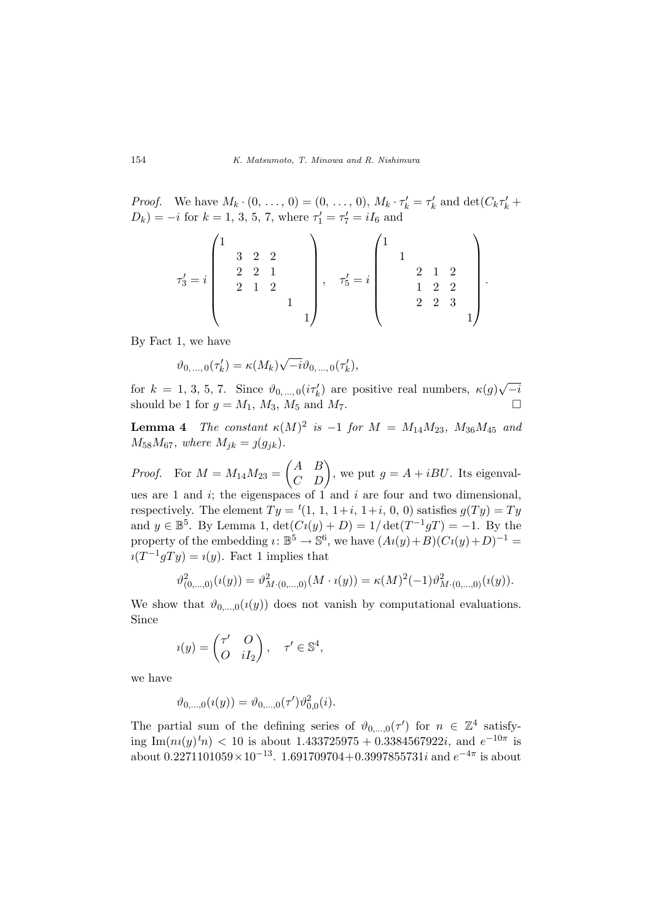*Proof.* We have  $M_k \cdot (0, \ldots, 0) = (0, \ldots, 0), M_k \cdot \tau'_k = \tau'_k$  and  $\det(C_k \tau'_k +$  $D_k$ ) =  $-i$  for  $k = 1, 3, 5, 7$ , where  $\tau'_1 = \tau'_7 = iI_6$  and

$$
\tau'_3 = i \begin{pmatrix} 1 & & & & & \\ & 3 & 2 & 2 & & & \\ & & 2 & 2 & 1 & & \\ & & 2 & 1 & 2 & & \\ & & & & 1 & & \\ & & & & & 1 \end{pmatrix}, \quad \tau'_5 = i \begin{pmatrix} 1 & & & & & \\ & 1 & & & & \\ & & 2 & 1 & 2 & \\ & & 1 & 2 & 2 & \\ & & 2 & 2 & 3 & \\ & & & & & 1 \end{pmatrix}
$$

.

By Fact 1, we have

$$
\vartheta_{0,...,0}(\tau'_{k}) = \kappa(M_{k})\sqrt{-i}\vartheta_{0,...,0}(\tau'_{k}),
$$

for  $k = 1, 3, 5, 7$ . Since  $\vartheta_{0,\dots,0}(i\tau_k)$  are positive real numbers,  $\kappa(g)$ √  $-i$ should be 1 for  $g = M_1$ ,  $M_3$ ,  $M_5$  and  $M_7$ .

**Lemma 4** The constant  $\kappa(M)^2$  is  $-1$  for  $M = M_{14}M_{23}$ ,  $M_{36}M_{45}$  and  $M_{58}M_{67}$ , where  $M_{jk} = j(g_{jk})$ .

*Proof.* For  $M = M_{14}M_{23} =$  $\overline{a}$ A B  $\begin{pmatrix} A & B \\ C & D \end{pmatrix}$ , we put  $g = A + iBU$ . Its eigenvalues are 1 and  $i$ ; the eigenspaces of 1 and  $i$  are four and two dimensional, respectively. The element  $Ty = {}^t(1, 1, 1+i, 1+i, 0, 0)$  satisfies  $g(Ty) = Ty$ and  $y \in \mathbb{B}^5$ . By Lemma 1,  $\det(Ci(y) + D) = 1/\det(T^{-1}gT) = -1$ . By the property of the embedding  $i: \mathbb{B}^5 \to \mathbb{S}^6$ , we have  $(Ai(y)+B)(Ci(y)+D)^{-1} =$  $i(T^{-1}gTy) = i(y)$ . Fact 1 implies that

$$
\vartheta_{(0,\ldots,0)}^2(i(y)) = \vartheta_{M\cdot(0,\ldots,0)}^2(M\cdot i(y)) = \kappa(M)^2(-1)\vartheta_{M\cdot(0,\ldots,0)}^2(i(y)).
$$

We show that  $\vartheta_{0,\dots,0}(i(y))$  does not vanish by computational evaluations. Since

$$
i(y) = \begin{pmatrix} \tau' & O \\ O & iI_2 \end{pmatrix}, \quad \tau' \in \mathbb{S}^4,
$$

we have

$$
\vartheta_{0,\ldots,0}(\imath(y)) = \vartheta_{0,\ldots,0}(\tau')\vartheta_{0,0}^2(i).
$$

The partial sum of the defining series of  $\vartheta_{0,\dots,0}(\tau')$  for  $n \in \mathbb{Z}^4$  satisfying Im $(n_i(y)^{t_n}) < 10$  is about 1.433725975 + 0.3384567922*i*, and  $e^{-10\pi}$  is about  $0.2271101059 \times 10^{-13}$ . 1.691709704+0.3997855731i and  $e^{-4\pi}$  is about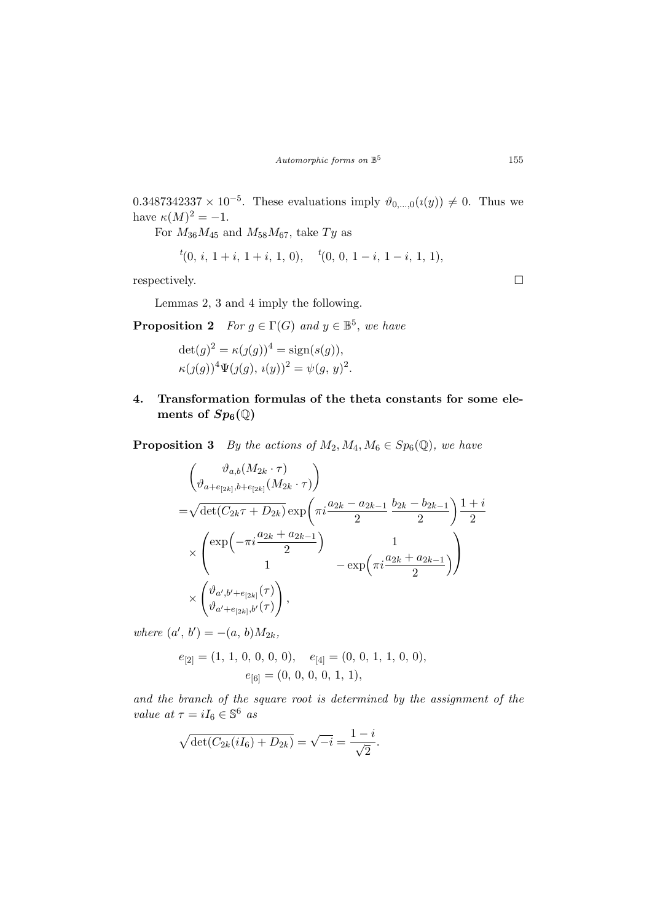$0.3487342337 \times 10^{-5}$ . These evaluations imply  $\vartheta_{0,\dots,0}(\iota(y)) \neq 0$ . Thus we have  $\kappa(M)^2 = -1$ .

For  $M_{36}M_{45}$  and  $M_{58}M_{67}$ , take  $Ty$  as

$$
{}^{t}(0, i, 1+i, 1+i, 1, 0), \quad {}^{t}(0, 0, 1-i, 1-i, 1, 1),
$$

respectively.  $\Box$ 

Lemmas 2, 3 and 4 imply the following.

**Proposition 2** For  $g \in \Gamma(G)$  and  $y \in \mathbb{B}^5$ , we have

 $\det(g)^2 = \kappa(j(g))^4 = \text{sign}(s(g)),$  $\kappa(j(g))^4 \Psi(j(g), i(y))^2 = \psi(g, y)^2.$ 

4. Transformation formulas of the theta constants for some elements of  $Sp_6(\mathbb{Q})$ 

**Proposition 3** By the actions of  $M_2, M_4, M_6 \in Sp_6(\mathbb{Q})$ , we have

$$
\left(\begin{matrix}\n\vartheta_{a,b}(M_{2k}\cdot\tau) \\
\vartheta_{a+e_{[2k]},b+e_{[2k]}}(M_{2k}\cdot\tau)\n\end{matrix}\right) \\
=\sqrt{\det(C_{2k}\tau+D_{2k})}\exp\left(\pi i\frac{a_{2k}-a_{2k-1}}{2}\frac{b_{2k}-b_{2k-1}}{2}\right)\frac{1+i}{2} \\
\times \left(\begin{matrix}\n\exp\left(-\pi i\frac{a_{2k}+a_{2k-1}}{2}\right) & 1 \\
1 & -\exp\left(\pi i\frac{a_{2k}+a_{2k-1}}{2}\right)\n\end{matrix}\right) \\
\times \left(\begin{matrix}\n\vartheta_{a',b'+e_{[2k]}}(\tau) \\
\vartheta_{a'+e_{[2k]},b'}(\tau)\n\end{matrix}\right),
$$

where  $(a', b') = -(a, b)M_{2k}$ ,

$$
e_{[2]} = (1, 1, 0, 0, 0, 0), \quad e_{[4]} = (0, 0, 1, 1, 0, 0),
$$

$$
e_{[6]} = (0, 0, 0, 0, 1, 1),
$$

and the branch of the square root is determined by the assignment of the value at  $\tau = iI_6 \in \mathbb{S}^6$  as

$$
\sqrt{\det(C_{2k}(iI_6) + D_{2k})} = \sqrt{-i} = \frac{1-i}{\sqrt{2}}.
$$

155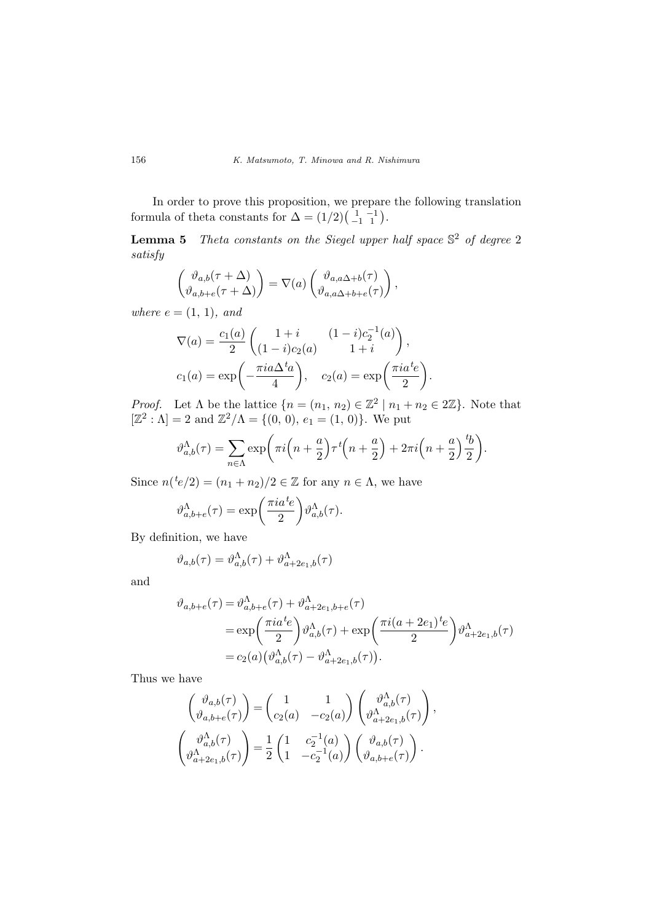In order to prove this proposition, we prepare the following translation In order to prove this proposition, we prepare<br>formula of theta constants for  $\Delta = (1/2) \begin{pmatrix} 1 & -1 \\ -1 & 1 \end{pmatrix}$ .

**Lemma 5** Theta constants on the Siegel upper half space  $\mathbb{S}^2$  of degree 2 satisfy

$$
\begin{pmatrix} \vartheta_{a,b}(\tau+\Delta) \\ \vartheta_{a,b+e}(\tau+\Delta) \end{pmatrix} = \nabla(a) \begin{pmatrix} \vartheta_{a,a\Delta+b}(\tau) \\ \vartheta_{a,a\Delta+b+e}(\tau) \end{pmatrix},
$$

where  $e = (1, 1)$ , and

$$
\nabla(a) = \frac{c_1(a)}{2} \begin{pmatrix} 1+i & (1-i)c_2^{-1}(a) \\ (1-i)c_2(a) & 1+i \end{pmatrix},
$$
  
\n
$$
c_1(a) = \exp\left(-\frac{\pi i a \Delta^t a}{4}\right), \quad c_2(a) = \exp\left(\frac{\pi i a^t e}{2}\right).
$$

*Proof.* Let  $\Lambda$  be the lattice  $\{n = (n_1, n_2) \in \mathbb{Z}^2 \mid n_1 + n_2 \in 2\mathbb{Z}\}$ . Note that  $[\mathbb{Z}^2 : \Lambda] = 2$  and  $\mathbb{Z}^2/\Lambda = \{(0, 0), e_1 = (1, 0)\}.$  We put

$$
\vartheta_{a,b}^{\Lambda}(\tau) = \sum_{n \in \Lambda} \exp\bigg(\pi i \left(n + \frac{a}{2}\right) \tau^t \left(n + \frac{a}{2}\right) + 2\pi i \left(n + \frac{a}{2}\right) \frac{b}{2}\bigg).
$$

Since  $n({}^{t}e/2) = (n_1 + n_2)/2 \in \mathbb{Z}$  for any  $n \in \Lambda$ , we have

$$
\vartheta_{a,b+e}^{\Lambda}(\tau) = \exp\left(\frac{\pi i a^t e}{2}\right) \vartheta_{a,b}^{\Lambda}(\tau).
$$

By definition, we have

$$
\vartheta_{a,b}(\tau) = \vartheta_{a,b}^{\Lambda}(\tau) + \vartheta_{a+2e_1,b}^{\Lambda}(\tau)
$$

and

$$
\vartheta_{a,b+e}(\tau) = \vartheta_{a,b+e}^{\Lambda}(\tau) + \vartheta_{a+2e_1,b+e}^{\Lambda}(\tau)
$$
  
= 
$$
\exp\left(\frac{\pi i a^t e}{2}\right) \vartheta_{a,b}^{\Lambda}(\tau) + \exp\left(\frac{\pi i (a+2e_1)^t e}{2}\right) \vartheta_{a+2e_1,b}^{\Lambda}(\tau)
$$
  
= 
$$
c_2(a) (\vartheta_{a,b}^{\Lambda}(\tau) - \vartheta_{a+2e_1,b}^{\Lambda}(\tau)).
$$

Thus we have

have  
\n
$$
\begin{pmatrix}\n\vartheta_{a,b}(\tau) \\
\vartheta_{a,b+e}(\tau)\n\end{pmatrix} = \begin{pmatrix}\n1 & 1 \\
c_2(a) & -c_2(a)\n\end{pmatrix} \begin{pmatrix}\n\vartheta_{a,b}^{\Lambda}(\tau) \\
\vartheta_{a+2e_1,b}^{\Lambda}(\tau)\n\end{pmatrix},
$$
\n
$$
\begin{pmatrix}\n\vartheta_{a,b}^{\Lambda}(\tau) \\
\vartheta_{a+2e_1,b}^{\Lambda}(\tau)\n\end{pmatrix} = \frac{1}{2} \begin{pmatrix}\n1 & c_2^{-1}(a) \\
1 & -c_2^{-1}(a)\n\end{pmatrix} \begin{pmatrix}\n\vartheta_{a,b}(\tau) \\
\vartheta_{a,b+e}(\tau)\n\end{pmatrix}.
$$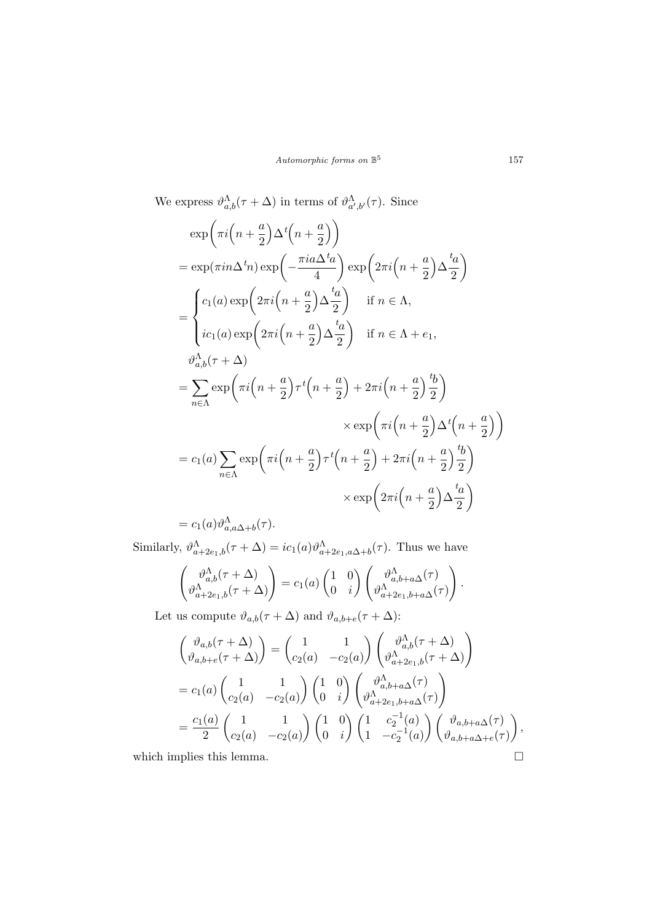We express  $\vartheta_{a,b}^{\Lambda}(\tau+\Delta)$  in terms of  $\vartheta_{a',b'}^{\Lambda}(\tau)$ . Since

$$
\exp\left(\pi i \left(n + \frac{a}{2}\right) \Delta^t \left(n + \frac{a}{2}\right)\right)
$$
\n
$$
= \exp(\pi i n \Delta^t n) \exp\left(-\frac{\pi i a \Delta^t a}{4}\right) \exp\left(2\pi i \left(n + \frac{a}{2}\right) \Delta \frac{t_a}{2}\right)
$$
\n
$$
= \begin{cases}\nc_1(a) \exp\left(2\pi i \left(n + \frac{a}{2}\right) \Delta \frac{t_a}{2}\right) & \text{if } n \in \Lambda, \\
ic_1(a) \exp\left(2\pi i \left(n + \frac{a}{2}\right) \Delta \frac{t_a}{2}\right) & \text{if } n \in \Lambda + e_1,\n\end{cases}
$$
\n
$$
= \sum_{n \in \Lambda} \exp\left(\pi i \left(n + \frac{a}{2}\right) \tau^t \left(n + \frac{a}{2}\right) + 2\pi i \left(n + \frac{a}{2}\right) \frac{t_b}{2}\right)
$$
\n
$$
\times \exp\left(\pi i \left(n + \frac{a}{2}\right) \Delta^t \left(n + \frac{a}{2}\right)\right)
$$
\n
$$
= c_1(a) \sum_{n \in \Lambda} \exp\left(\pi i \left(n + \frac{a}{2}\right) \tau^t \left(n + \frac{a}{2}\right) + 2\pi i \left(n + \frac{a}{2}\right) \frac{t_b}{2}\right)
$$
\n
$$
\times \exp\left(2\pi i \left(n + \frac{a}{2}\right) \Delta \frac{t_a}{2}\right)
$$

 $=c_1(a)\vartheta_{a,a\Delta+b}^{\Lambda}(\tau).$ 

Similarly,  $\vartheta_{a+2e_1,b}^{\Lambda}(\tau+\Delta) = ic_1(a)\vartheta_{a+2e_1,a\Delta+b}^{\Lambda}(\tau)$ . Thus we have

$$
\begin{pmatrix} \vartheta_{a,b}^{\Lambda}(\tau+\Delta) \\ \vartheta_{a+2e_1,b}^{\Lambda}(\tau+\Delta) \end{pmatrix} = c_1(a) \begin{pmatrix} 1 & 0 \\ 0 & i \end{pmatrix} \begin{pmatrix} \vartheta_{a,b+a\Delta}^{\Lambda}(\tau) \\ \vartheta_{a+2e_1,b+a\Delta}^{\Lambda}(\tau) \end{pmatrix}.
$$

Let us compute  $\vartheta_{a,b}(\tau+\Delta)$  and  $\vartheta_{a,b+e}(\tau+\Delta)$ :

$$
\begin{pmatrix}\n\vartheta_{a,b}(\tau + \Delta) \\
\vartheta_{a,b+e}(\tau + \Delta)\n\end{pmatrix} = \begin{pmatrix}\n1 & 1 \\
c_2(a) & -c_2(a)\n\end{pmatrix}\n\begin{pmatrix}\n\vartheta_{a,b}^{\Lambda}(\tau + \Delta) \\
\vartheta_{a+2e_1,b}^{\Lambda}(\tau + \Delta)\n\end{pmatrix}
$$
\n
$$
= c_1(a)\begin{pmatrix}\n1 & 1 \\
c_2(a) & -c_2(a)\n\end{pmatrix}\n\begin{pmatrix}\n1 & 0 \\
0 & i\n\end{pmatrix}\n\begin{pmatrix}\n\vartheta_{a,b+a\Delta}^{\Lambda}(\tau) \\
\vartheta_{a+2e_1,b+a\Delta}^{\Lambda}(\tau)\n\end{pmatrix}
$$
\n
$$
= \frac{c_1(a)}{2}\begin{pmatrix}\n1 & 1 \\
c_2(a) & -c_2(a)\n\end{pmatrix}\n\begin{pmatrix}\n1 & 0 \\
0 & i\n\end{pmatrix}\n\begin{pmatrix}\n1 & c_2^{-1}(a) \\
1 & -c_2^{-1}(a)\n\end{pmatrix}\n\begin{pmatrix}\n\vartheta_{a,b+a\Delta}(\tau) \\
\vartheta_{a,b+a\Delta+e}(\tau)\n\end{pmatrix},
$$
\nwhich implies this lemma.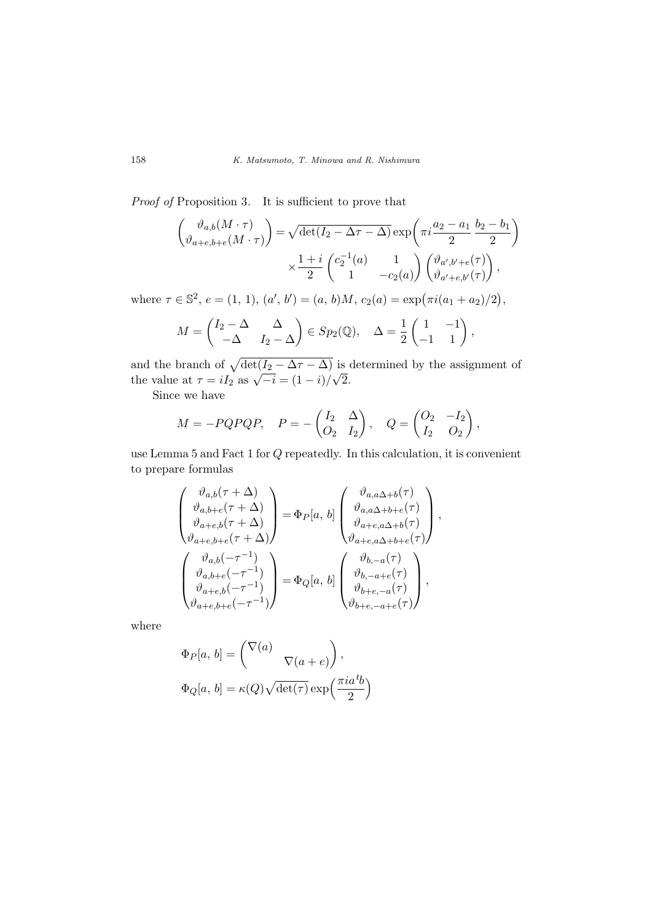Proof of Proposition 3. It is sufficient to prove that

$$
\begin{pmatrix}\n\vartheta_{a,b}(M \cdot \tau) \\
\vartheta_{a+e,b+e}(M \cdot \tau)\n\end{pmatrix} = \sqrt{\det(I_2 - \Delta \tau - \Delta)} \exp\left(\pi i \frac{a_2 - a_1}{2} \frac{b_2 - b_1}{2}\right)
$$
\n
$$
\times \frac{1 + i}{2} \begin{pmatrix} c_2^{-1}(a) & 1 \\
1 & -c_2(a) \end{pmatrix} \begin{pmatrix} \vartheta_{a',b'+e}(\tau) \\
\vartheta_{a'+e,b'}(\tau) \end{pmatrix},
$$

where  $\tau \in \mathbb{S}^2$ ,  $e = (1, 1), (a', b') = (a, b)M$ ,  $c_2(a) = \exp(\pi i (a_1 + a_2)/2)$ ,

$$
M = \begin{pmatrix} I_2 - \Delta & \Delta \\ -\Delta & I_2 - \Delta \end{pmatrix} \in Sp_2(\mathbb{Q}), \quad \Delta = \frac{1}{2} \begin{pmatrix} 1 & -1 \\ -1 & 1 \end{pmatrix},
$$

and the branch of  $\sqrt{\det(I_2 - \Delta \tau - \Delta)}$  is determined by the assignment of the value at  $\tau = iI_2$  as  $\sqrt{-i} = (1 - i)/\sqrt{2}$ . √ 2.

Since we have

$$
M = -PQPQP, \quad P = -\begin{pmatrix} I_2 & \Delta \\ O_2 & I_2 \end{pmatrix}, \quad Q = \begin{pmatrix} O_2 & -I_2 \\ I_2 & O_2 \end{pmatrix},
$$

use Lemma 5 and Fact 1 for Q repeatedly. In this calculation, it is convenient to prepare formulas

$$
\begin{pmatrix} \vartheta_{a,b}(\tau+\Delta) \\ \vartheta_{a,b+e}(\tau+\Delta) \\ \vartheta_{a+e,b}(\tau+\Delta) \\ \vartheta_{a+e,b+e}(\tau+\Delta) \end{pmatrix} = \Phi_P[a,b] \begin{pmatrix} \vartheta_{a,a\Delta+b}(\tau) \\ \vartheta_{a,a\Delta+b+e}(\tau) \\ \vartheta_{a+e,a\Delta+b}(\tau) \\ \vartheta_{a+e,a\Delta+b}(\tau) \\ \vartheta_{a+e,b}(\tau) \end{pmatrix},
$$

$$
\begin{pmatrix} \vartheta_{a,b}(-\tau^{-1}) \\ \vartheta_{a,b+e}(-\tau^{-1}) \\ \vartheta_{a+e,b}(-\tau^{-1}) \\ \vartheta_{a+e,b+e}(-\tau^{-1}) \end{pmatrix} = \Phi_Q[a,b] \begin{pmatrix} \vartheta_{b,-a}(\tau) \\ \vartheta_{b,-a+e}(\tau) \\ \vartheta_{b+e,-a}(\tau) \\ \vartheta_{b+e,-a+e}(\tau) \end{pmatrix},
$$

where

$$
\Phi_P[a, b] = \begin{pmatrix} \nabla(a) & & \\ & \nabla(a + e) \end{pmatrix},
$$
  

$$
\Phi_Q[a, b] = \kappa(Q)\sqrt{\det(\tau)} \exp\left(\frac{\pi i a^{t}b}{2}\right)
$$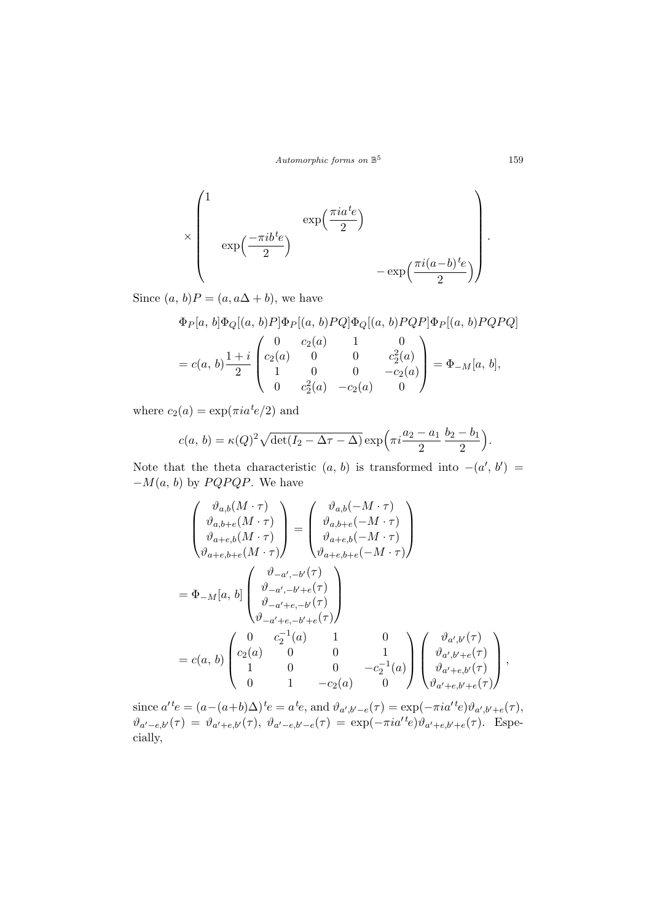Automorphic forms on  $\mathbb{B}^5$ 

$$
\times \begin{pmatrix} 1 & & & \\ & \exp\left(\frac{-\pi i b^t e}{2}\right) & & \\ & \exp\left(\frac{-\pi i b^t e}{2}\right) & & \\ & & -\exp\left(\frac{\pi i (a-b)^t e}{2}\right) \end{pmatrix}.
$$

Since  $(a, b)P = (a, a\Delta + b)$ , we have

$$
\Phi_P[a, b]\Phi_Q[(a, b)P]\Phi_P[(a, b)PQ]\Phi_Q[(a, b)PQP]\Phi_P[(a, b)PQPQ]
$$
\n
$$
= c(a, b)\frac{1+i}{2} \begin{pmatrix} 0 & c_2(a) & 1 & 0 \\ c_2(a) & 0 & 0 & c_2^2(a) \\ 1 & 0 & 0 & -c_2(a) \\ 0 & c_2^2(a) & -c_2(a) & 0 \end{pmatrix} = \Phi_{-M}[a, b],
$$

where  $c_2(a) = \exp(\pi i a^t e/2)$  and

$$
c(a, b) = \kappa(Q)^2 \sqrt{\det(I_2 - \Delta \tau - \Delta)} \exp\left(\pi i \frac{a_2 - a_1}{2} \frac{b_2 - b_1}{2}\right).
$$

Note that the theta characteristic  $(a, b)$  is transformed into  $-(a', b') =$  $-M(a, b)$  by  $PQPQP$ . We have

$$
\begin{pmatrix}\n\vartheta_{a,b}(M \cdot \tau) \\
\vartheta_{a,b+e}(M \cdot \tau) \\
\vartheta_{a+e,b}(M \cdot \tau) \\
\vartheta_{a+e,b}(M \cdot \tau)\n\end{pmatrix} = \begin{pmatrix}\n\vartheta_{a,b}(-M \cdot \tau) \\
\vartheta_{a,b+e}(-M \cdot \tau) \\
\vartheta_{a+e,b}(-M \cdot \tau) \\
\vartheta_{a+e,b+e}(-M \cdot \tau)\n\end{pmatrix}
$$
\n
$$
= \Phi_{-M}[a, b] \begin{pmatrix}\n\vartheta_{-a', -b'}(\tau) \\
\vartheta_{-a', -b'+e}(\tau) \\
\vartheta_{-a'+e, -b'+e}(\tau) \\
\vartheta_{-a'+e, -b'+e}(\tau)\n\end{pmatrix}
$$
\n
$$
= c(a, b) \begin{pmatrix}\n0 & c_2^{-1}(a) & 1 & 0 \\
c_2(a) & 0 & 0 & 1 \\
1 & 0 & 0 & -c_2^{-1}(a) \\
0 & 1 & -c_2(a) & 0\n\end{pmatrix} \begin{pmatrix}\n\vartheta_{a',b'}(\tau) \\
\vartheta_{a', b'+e}(\tau) \\
\vartheta_{a'+e, b'}(\tau) \\
\vartheta_{a'+e, b'}(\tau)\n\end{pmatrix},
$$

since  $a'^t e = (a - (a+b)\Delta)^t e = a^t e$ , and  $\vartheta_{a',b'-e}(\tau) = \exp(-\pi i a'^t e) \vartheta_{a',b'+e}(\tau)$ ,  $\vartheta_{a'-e,b'}(\tau) = \vartheta_{a'+e,b'}(\tau), \ \vartheta_{a'-e,b'-e}(\tau) = \exp(-\pi i a'^t e) \vartheta_{a'+e,b'+e}(\tau).$  Especially,

159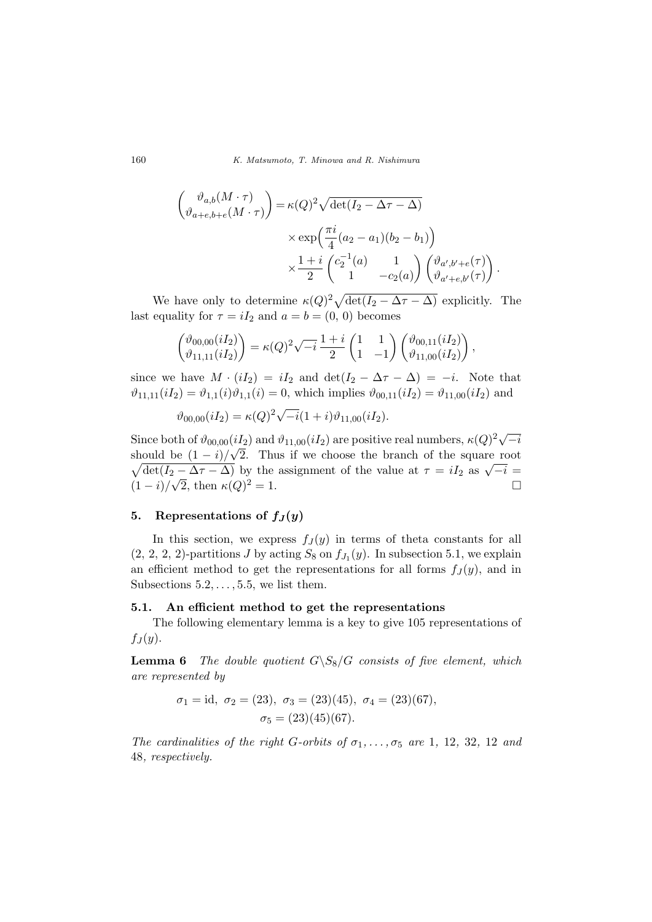160 K. Matsumoto, T. Minowa and R. Nishimura

$$
\begin{pmatrix}\n\vartheta_{a,b}(M \cdot \tau) \\
\vartheta_{a+e,b+e}(M \cdot \tau)\n\end{pmatrix} = \kappa(Q)^2 \sqrt{\det(I_2 - \Delta \tau - \Delta)}
$$
\n
$$
\times \exp\left(\frac{\pi i}{4}(a_2 - a_1)(b_2 - b_1)\right)
$$
\n
$$
\times \frac{1+i}{2} \begin{pmatrix} c_2^{-1}(a) & 1 \\
1 & -c_2(a) \end{pmatrix} \begin{pmatrix} \vartheta_{a',b'+e}(\tau) \\
\vartheta_{a'+e,b'}(\tau) \end{pmatrix}
$$

.

We have only to determine  $\kappa(Q)^2 \sqrt{\det(I_2 - \Delta \tau - \Delta)}$  explicitly. The last equality for  $\tau = iI_2$  and  $a = b = (0, 0)$  becomes

$$
\begin{pmatrix} \vartheta_{00,00}(iI_2) \\ \vartheta_{11,11}(iI_2) \end{pmatrix} = \kappa(Q)^2 \sqrt{-i} \frac{1+i}{2} \begin{pmatrix} 1 & 1 \\ 1 & -1 \end{pmatrix} \begin{pmatrix} \vartheta_{00,11}(iI_2) \\ \vartheta_{11,00}(iI_2) \end{pmatrix},
$$

since we have  $M \cdot (iI_2) = iI_2$  and  $\det(I_2 - \Delta \tau - \Delta) = -i$ . Note that  $\vartheta_{11,11}(iI_2) = \vartheta_{1,1}(i)\vartheta_{1,1}(i) = 0$ , which implies  $\vartheta_{00,11}(iI_2) = \vartheta_{11,00}(iI_2)$  and

$$
\vartheta_{00,00}(iI_2) = \kappa(Q)^2 \sqrt{-i}(1+i)\vartheta_{11,00}(iI_2).
$$

Since both of  $\vartheta_{00,00}(iI_2)$  and  $\vartheta_{11,00}(iI_2)$  are positive real numbers,  $\kappa(Q)^2\sqrt{Q}$  $(iI_2)$  and  $\vartheta_{11,00}(iI_2)$  are positive real numbers,  $\kappa(Q)^2 \sqrt{-i}$ should be  $(1-i)/\sqrt{2}$ . Thus if we choose the branch of the square root  $\frac{\text{d} \det(I_2 - \Delta \tau - \Delta)}{\det(I_2 - \Delta \tau - \Delta)}$  by the assignment of the value at  $\tau = iI_2$  as  $\sqrt{-i} =$  $(1 - i)/\sqrt{2}$ , then  $\kappa(Q)^2 = 1$ .

#### 5. Representations of  $f_J(y)$

In this section, we express  $f_J(y)$  in terms of theta constants for all  $(2, 2, 2, 2)$ -partitions J by acting  $S_8$  on  $f_{J_1}(y)$ . In subsection 5.1, we explain an efficient method to get the representations for all forms  $f_J(y)$ , and in Subsections  $5.2, \ldots, 5.5$ , we list them.

#### 5.1. An efficient method to get the representations

The following elementary lemma is a key to give 105 representations of  $f_J(y)$ .

**Lemma 6** The double quotient  $G\backslash S_8/G$  consists of five element, which are represented by

$$
\sigma_1 = id
$$
,  $\sigma_2 = (23)$ ,  $\sigma_3 = (23)(45)$ ,  $\sigma_4 = (23)(67)$ ,  
 $\sigma_5 = (23)(45)(67)$ .

The cardinalities of the right G-orbits of  $\sigma_1, \ldots, \sigma_5$  are 1, 12, 32, 12 and 48, respectively.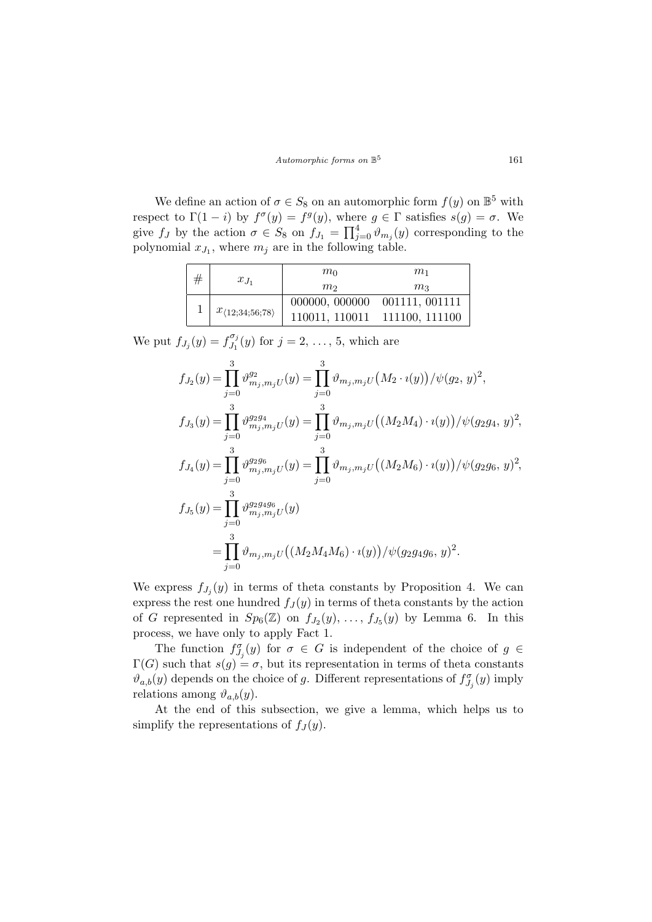We define an action of  $\sigma \in S_8$  on an automorphic form  $f(y)$  on  $\mathbb{B}^5$  with respect to  $\Gamma(1-i)$  by  $f^{\sigma}(y) = f^g(y)$ , where  $g \in \Gamma$  satisfies  $s(g) = \sigma$ . We give f<sub>J</sub> by the action  $\sigma \in S_8$  on  $f_{J_1} = \prod_{j=1}^{4}$  $j=0$   $\vartheta_{m_j}(y)$  corresponding to the polynomial  $x_{J_1}$ , where  $m_j$  are in the following table.

| # |                                      | $m_0$                         | m <sub>1</sub> |
|---|--------------------------------------|-------------------------------|----------------|
|   | $x_{J_1}$                            | m <sub>2</sub>                | m <sub>3</sub> |
|   |                                      | 000000, 000000 001111, 001111 |                |
|   | $x_{\langle 12; 34; 56; 78 \rangle}$ | 110011, 110011 111100, 111100 |                |

We put  $f_{J_j}(y) = f_{J_1}^{\sigma_j}$  $J_1^{o_j}(y)$  for  $j = 2, ..., 5$ , which are

$$
f_{J_2}(y) = \prod_{j=0}^{3} \vartheta_{m_j, m_j U}^{g_2}(y) = \prod_{j=0}^{3} \vartheta_{m_j, m_j U}(M_2 \cdot i(y)) / \psi(g_2, y)^2,
$$
  
\n
$$
f_{J_3}(y) = \prod_{j=0}^{3} \vartheta_{m_j, m_j U}^{g_2 g_4}(y) = \prod_{j=0}^{3} \vartheta_{m_j, m_j U}((M_2 M_4) \cdot i(y)) / \psi(g_2 g_4, y)^2,
$$
  
\n
$$
f_{J_4}(y) = \prod_{j=0}^{3} \vartheta_{m_j, m_j U}^{g_2 g_6}(y) = \prod_{j=0}^{3} \vartheta_{m_j, m_j U}((M_2 M_6) \cdot i(y)) / \psi(g_2 g_6, y)^2,
$$
  
\n
$$
f_{J_5}(y) = \prod_{j=0}^{3} \vartheta_{m_j, m_j U}^{g_2 g_4 g_6}(y)
$$
  
\n
$$
= \prod_{j=0}^{3} \vartheta_{m_j, m_j U}((M_2 M_4 M_6) \cdot i(y)) / \psi(g_2 g_4 g_6, y)^2.
$$

We express  $f_{J_j}(y)$  in terms of theta constants by Proposition 4. We can express the rest one hundred  $f_J(y)$  in terms of theta constants by the action of G represented in  $Sp_6(\mathbb{Z})$  on  $f_{J_2}(y), \ldots, f_{J_5}(y)$  by Lemma 6. In this process, we have only to apply Fact 1.

The function  $f_{J_j}^{\sigma}(y)$  for  $\sigma \in G$  is independent of the choice of  $g \in$  $\Gamma(G)$  such that  $s(g) = \sigma$ , but its representation in terms of theta constants  $\vartheta_{a,b}(y)$  depends on the choice of g. Different representations of  $f_{J_j}^{\sigma}(y)$  imply relations among  $\vartheta_{a,b}(y)$ .

At the end of this subsection, we give a lemma, which helps us to simplify the representations of  $f_J(y)$ .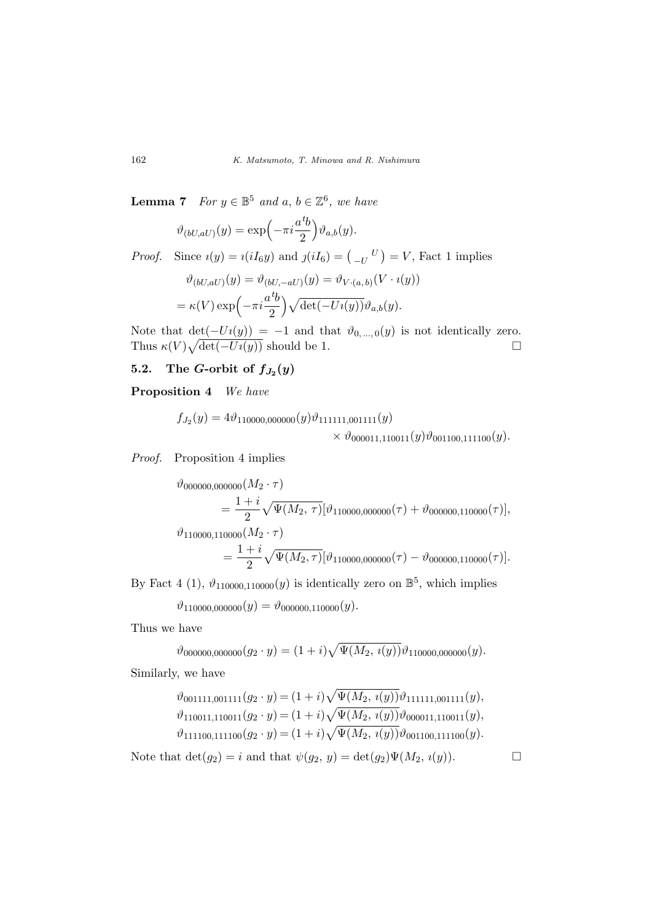**Lemma 7** For  $y \in \mathbb{B}^5$  and  $a, b \in \mathbb{Z}^6$ , we have

$$
\vartheta_{(bU,aU)}(y) = \exp\left(-\pi i \frac{a^{\textit{t}}b}{2}\right) \vartheta_{a,b}(y).
$$

*Proof.* Since  $i(y) = i(iI_6y)$  and  $j(iI_6) = \begin{pmatrix} 0 & 0 \\ -U & 0 \end{pmatrix}$ ¢  $= V$ , Fact 1 implies

$$
\vartheta_{(bU,aU)}(y) = \vartheta_{(bU,-aU)}(y) = \vartheta_{V\cdot(a,b)}(V\cdot i(y))
$$

$$
= \kappa(V) \exp\left(-\pi i \frac{ab}{2}\right) \sqrt{\det(-Ui(y))} \vartheta_{a,b}(y).
$$

Note that  $\det(-U_i(y)) = -1$  and that  $\vartheta_{0,\,\dots,\,0}(y)$  is not identically zero. Thus  $\kappa(V)\sqrt{\det(-U_i(y))}$  should be 1.

# 5.2. The G-orbit of  $f_{J_2}(y)$

Proposition 4 We have

$$
f_{J_2}(y) = 4 \vartheta_{110000,000000}(y) \vartheta_{111111,001111}(y) \times \vartheta_{000011,110011}(y) \vartheta_{001100,111100}(y).
$$

Proof. Proposition 4 implies

$$
\vartheta_{000000,000000}(M_2 \cdot \tau)
$$
\n
$$
= \frac{1+i}{2} \sqrt{\Psi(M_2, \tau)} [\vartheta_{110000,000000}(\tau) + \vartheta_{000000,110000}(\tau)],
$$
\n
$$
\vartheta_{110000,110000}(M_2 \cdot \tau)
$$
\n
$$
= \frac{1+i}{2} \sqrt{\Psi(M_2, \tau)} [\vartheta_{110000,000000}(\tau) - \vartheta_{000000,110000}(\tau)].
$$

By Fact 4 (1),  $\vartheta_{110000, 110000}(y)$  is identically zero on  $\mathbb{B}^5$ , which implies

 $\vartheta_{110000,000000}(y) = \vartheta_{000000,110000}(y).$ 

Thus we have

$$
\vartheta_{000000,000000}(g_2 \cdot y) = (1+i)\sqrt{\Psi(M_2, i(y))}\vartheta_{110000,000000}(y).
$$

Similarly, we have

$$
\vartheta_{001111,001111}(g_2 \cdot y) = (1+i)\sqrt{\Psi(M_2, i(y))}\vartheta_{111111,001111}(y),\n\vartheta_{110011,110011}(g_2 \cdot y) = (1+i)\sqrt{\Psi(M_2, i(y))}\vartheta_{000011,110011}(y),\n\vartheta_{111100,111100}(g_2 \cdot y) = (1+i)\sqrt{\Psi(M_2, i(y))}\vartheta_{001100,111100}(y).
$$

Note that  $\det(g_2) = i$  and that  $\psi(g_2, y) = \det(g_2)\Psi(M_2, i(y)).$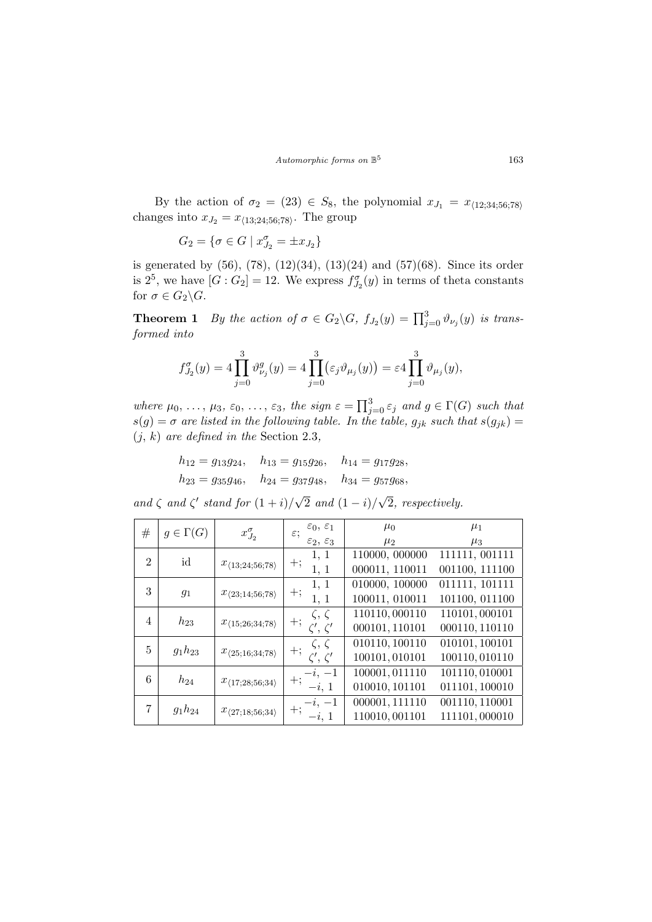Automorphic forms on  $\mathbb{B}^5$ 

By the action of  $\sigma_2 = (23) \in S_8$ , the polynomial  $x_{J_1} = x_{\langle 12;34;56;78\rangle}$ changes into  $x_{J_2} = x_{\langle 13; 24; 56; 78 \rangle}$ . The group

$$
G_2 = \{ \sigma \in G \mid x_{J_2}^{\sigma} = \pm x_{J_2} \}
$$

is generated by  $(56)$ ,  $(78)$ ,  $(12)(34)$ ,  $(13)(24)$  and  $(57)(68)$ . Since its order is  $2^5$ , we have  $[G:G_2]=12$ . We express  $f_{J_2}^{\sigma}(y)$  in terms of theta constants for  $\sigma \in G_2 \backslash G$ .

**Theorem 1** By the action of  $\sigma \in G_2 \backslash G$ ,  $f_{J_2}(y) = \prod_{j=0}^3 \vartheta_{\nu_j}(y)$  is transformed into

$$
f_{J_2}^{\sigma}(y) = 4 \prod_{j=0}^{3} \vartheta_{\nu_j}^g(y) = 4 \prod_{j=0}^{3} (\varepsilon_j \vartheta_{\mu_j}(y)) = \varepsilon 4 \prod_{j=0}^{3} \vartheta_{\mu_j}(y),
$$

where  $\mu_0, \ldots, \mu_3, \varepsilon_0, \ldots, \varepsilon_3$ , the sign  $\varepsilon = \prod_i^3$  $j=0 \varepsilon_j$  and  $g \in \Gamma(G)$  such that  $s(g) = \sigma$  are listed in the following table. In the table,  $g_{jk}$  such that  $s(g_{jk}) =$  $(j, k)$  are defined in the Section 2.3,

$$
h_{12} = g_{13}g_{24}
$$
,  $h_{13} = g_{15}g_{26}$ ,  $h_{14} = g_{17}g_{28}$ ,  
\n $h_{23} = g_{35}g_{46}$ ,  $h_{24} = g_{37}g_{48}$ ,  $h_{34} = g_{57}g_{68}$ ,

and  $\zeta$  and  $\zeta'$  stand for  $(1+i)/$ √ 2 and  $(1 - i)$ √ 2, respectively.

| #              | $g \in \Gamma(G)$ | $x_{J_2}^{\sigma}$                   | $\varepsilon_0, \varepsilon_1$<br>$\varepsilon;$<br>$\varepsilon_2$ , $\varepsilon_3$ | $\mu_0$<br>$\mu_2$ | $\mu_1$<br>$\mu_3$ |
|----------------|-------------------|--------------------------------------|---------------------------------------------------------------------------------------|--------------------|--------------------|
|                |                   |                                      | 1, 1                                                                                  | 110000, 000000     | 111111, 001111     |
| $\mathfrak{D}$ | id                | $x_{\langle 13; 24; 56; 78 \rangle}$ | $+;$                                                                                  |                    |                    |
|                |                   |                                      | 1, 1                                                                                  | 000011, 110011     | 001100, 111100     |
|                |                   |                                      | 1, 1                                                                                  | 010000, 100000     | 011111, 101111     |
| 3              | $g_1$             | $x_{\langle 23;14;56;78 \rangle}$    | $+;$<br>1, 1                                                                          | 100011, 010011     | 101100, 011100     |
|                |                   |                                      |                                                                                       |                    |                    |
| 4              | $h_{23}$          |                                      | $\zeta, \zeta$                                                                        | 110110,000110      | 110101,000101      |
|                |                   | $x_{\langle 15; 26; 34; 78 \rangle}$ | $+;$<br>$\zeta', \zeta'$                                                              | 000101, 110101     | 000110, 110110     |
|                |                   |                                      | $\zeta, \zeta$                                                                        | 010110, 100110     | 010101, 100101     |
| 5              | $g_1h_{23}$       | $x_{\langle 25;16;34;78 \rangle}$    | $+;$<br>$\zeta',\,\zeta'$                                                             | 100101,010101      | 100110, 010110     |
|                |                   |                                      | $-i, -1$                                                                              | 100001, 011110     | 101110,010001      |
| 6              | $h_{24}$          | $x_{\langle 17;28;56;34\rangle}$     | $+;$                                                                                  |                    |                    |
|                |                   |                                      | $-i, 1$                                                                               | 010010, 101101     | 011101, 100010     |
|                |                   |                                      | $-i, -1$                                                                              | 000001, 111110     | 001110, 110001     |
| 7              | $g_1h_{24}$       | $x_{\langle 27;18;56;34\rangle}$     | $+$<br>- $i.\; 1$                                                                     | 110010,001101      | 111101,000010      |
|                |                   |                                      |                                                                                       |                    |                    |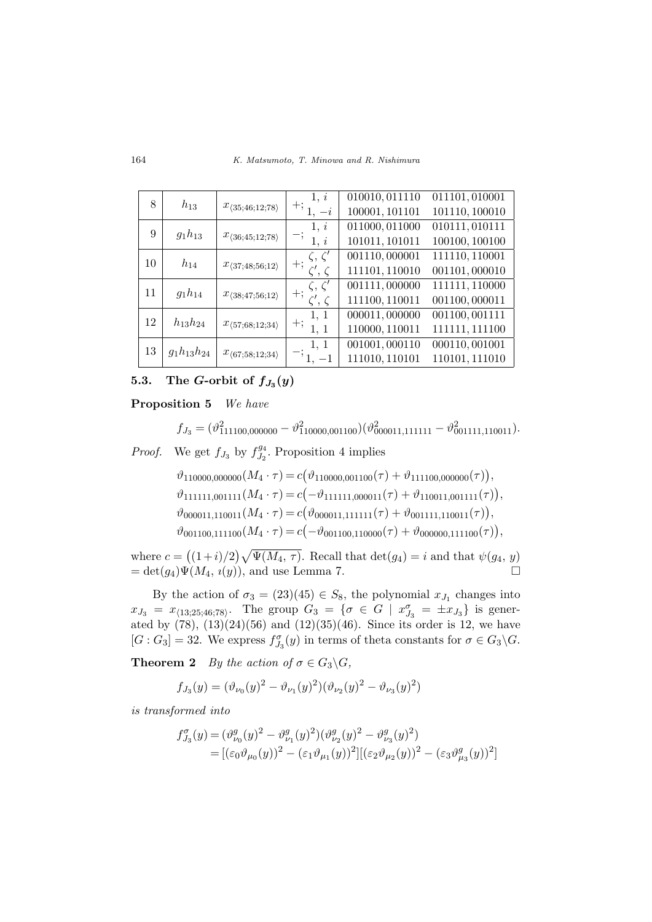164 K. Matsumoto, T. Minowa and R. Nishimura

| 8  |                   |                                   | 1, i                     | 010010, 011110 | 011101,010001  |
|----|-------------------|-----------------------------------|--------------------------|----------------|----------------|
|    | $h_{13}$          | $x_{\langle 35;46;12;78\rangle}$  | $+;$<br>$-i$             | 100001, 101101 | 101110, 100010 |
| 9  | $g_1h_{13}$       |                                   | 1, i                     | 011000, 011000 | 010111,010111  |
|    |                   | $x_{\langle 36;45;12;78\rangle}$  | 1, i                     | 101011, 101011 | 100100, 100100 |
| 10 | $h_{14}$          |                                   | $\zeta,\,\zeta'$         | 001110,000001  | 111110, 110001 |
|    |                   | $x_{\langle 37;48;56;12 \rangle}$ | $+;$<br>$\zeta',\,\zeta$ | 111101, 110010 | 001101,000010  |
| 11 | $g_1h_{14}$       |                                   | $\zeta, \zeta'$          | 001111,000000  | 111111, 110000 |
|    |                   | $x_{\langle 38;47;56;12 \rangle}$ | $+;$<br>$\zeta', \zeta$  | 111100, 110011 | 001100,000011  |
| 12 | $h_{13}h_{24}$    |                                   | 1, 1                     | 000011,000000  | 001100,001111  |
|    |                   | $x_{\langle 57;68;12;34\rangle}$  | $+;$<br>1, 1             | 110000, 110011 | 111111, 111100 |
| 13 |                   |                                   | 1, 1                     | 001001,000110  | 000110,001001  |
|    | $g_1h_{13}h_{24}$ | $x_{\langle 67;58;12;34\rangle}$  | $-1$                     | 111010, 110101 | 110101, 111010 |

# 5.3. The G-orbit of  $f_{J_3}(y)$

Proposition 5 We have

$$
f_{J_3} = (\vartheta_{111100,000000}^2 - \vartheta_{110000,001100}^2)(\vartheta_{000011,111111}^2 - \vartheta_{001111,110011}^2).
$$

*Proof.* We get  $f_{J_3}$  by  $f_{J_2}^{g_4}$  $J_2^{g_4}$ . Proposition 4 implies

$$
\vartheta_{110000,000000}(M_4 \cdot \tau) = c(\vartheta_{110000,001100}(\tau) + \vartheta_{111100,000000}(\tau)),
$$
  
\n
$$
\vartheta_{111111,001111}(M_4 \cdot \tau) = c(-\vartheta_{111111,000011}(\tau) + \vartheta_{110011,001111}(\tau)),
$$
  
\n
$$
\vartheta_{000011,110011}(M_4 \cdot \tau) = c(\vartheta_{000011,11111}(\tau) + \vartheta_{001111,110011}(\tau)),
$$
  
\n
$$
\vartheta_{001100,111100}(M_4 \cdot \tau) = c(-\vartheta_{001100,110000}(\tau) + \vartheta_{000000,111100}(\tau)),
$$

where  $c =$ ¡  $(1+i)/2$  $\sqrt{q}$  $\Psi(M_4, \tau)$ . Recall that  $\det(g_4) = i$  and that  $\psi(g_4, y)$  $= det(g_4)\Psi(M_4, i(y)),$  and use Lemma 7.  $\Box$ 

By the action of  $\sigma_3 = (23)(45) \in S_8$ , the polynomial  $x_{J_1}$  changes into  $x_{J_3} = x_{\langle 13;25;46;78 \rangle}$ . The group  $G_3 = \{ \sigma \in G \mid x_{J_3}^{\sigma} = \pm x_{J_3} \}$  is generated by  $(78)$ ,  $(13)(24)(56)$  and  $(12)(35)(46)$ . Since its order is 12, we have  $[G: G_3] = 32$ . We express  $f_{J_3}^{\sigma}(y)$  in terms of theta constants for  $\sigma \in G_3 \backslash G$ .

**Theorem 2** By the action of  $\sigma \in G_3 \backslash G$ ,

$$
f_{J_3}(y) = (\vartheta_{\nu_0}(y))^2 - \vartheta_{\nu_1}(y)^2)(\vartheta_{\nu_2}(y)^2 - \vartheta_{\nu_3}(y)^2)
$$

is transformed into

$$
f_{J_3}^{\sigma}(y) = (\vartheta_{\nu_0}^g(y)^2 - \vartheta_{\nu_1}^g(y)^2)(\vartheta_{\nu_2}^g(y)^2 - \vartheta_{\nu_3}^g(y)^2)
$$
  
= 
$$
[(\varepsilon_0 \vartheta_{\mu_0}(y))^2 - (\varepsilon_1 \vartheta_{\mu_1}(y))^2][(\varepsilon_2 \vartheta_{\mu_2}(y))^2 - (\varepsilon_3 \vartheta_{\mu_3}^g(y))^2]
$$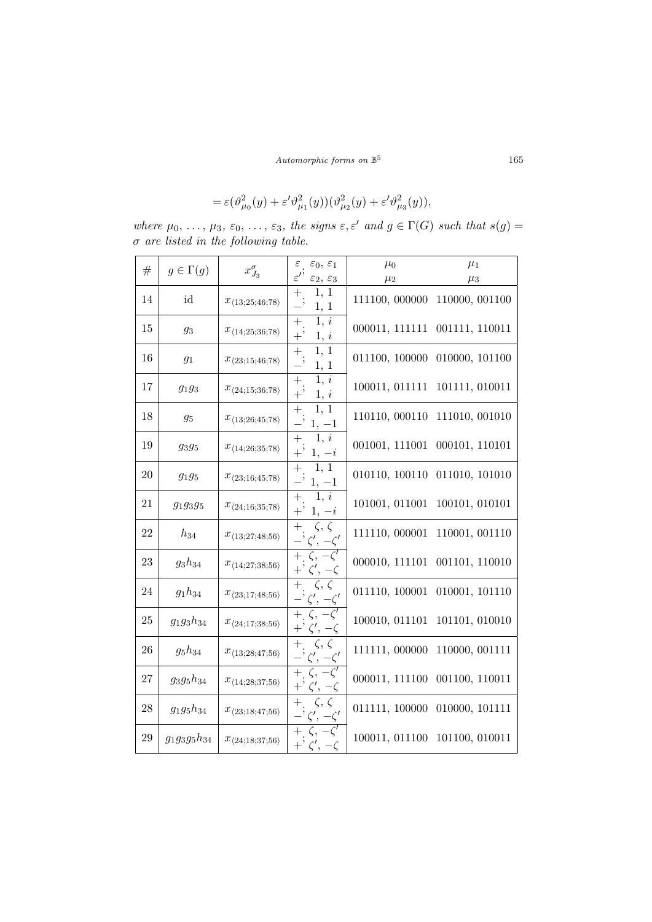$\emph{Automorphic forms on $\mathbb{B}^5$}$ 

$$
= \varepsilon (\vartheta^2_{\mu_0}(y) + \varepsilon' \vartheta^2_{\mu_1}(y))(\vartheta^2_{\mu_2}(y) + \varepsilon' \vartheta^2_{\mu_3}(y)),
$$

where  $\mu_0, \ldots, \mu_3, \varepsilon_0, \ldots, \varepsilon_3$ , the signs  $\varepsilon, \varepsilon'$  and  $g \in \Gamma(G)$  such that  $s(g)$  $\sigma$  are listed in the following table.

| $^{\#}$ | $g \in \Gamma(g)$ | $x_{J_3}^\sigma$                     | $\varepsilon_{\perp}$<br>$\varepsilon_0,\,\varepsilon_1$            | $\mu_0$        | $\mu_1$                       |
|---------|-------------------|--------------------------------------|---------------------------------------------------------------------|----------------|-------------------------------|
|         |                   |                                      | $\varepsilon^{\prime}$<br>$\varepsilon_2, \, \varepsilon_3$         | $\mu_2$        | $\mu_3$                       |
| 14      | id                | $x_{\langle 13; 25; 46; 78 \rangle}$ | 1, 1<br>$^{+}$<br>1, 1                                              | 111100, 000000 | 110000, 001100                |
| 15      | $g_3$             | $x_{\langle 14;25;36;78\rangle}$     | $\overline{1, i}$<br>$^{+}$<br>$+$ '<br>1, i                        | 000011, 111111 | 001111, 110011                |
| 16      | $\mathfrak{g}_1$  | $x_{\langle 23;15;46;78 \rangle}$    | 1, 1<br>$+$ .<br>$1,\,1$                                            | 011100, 100000 | 010000, 101100                |
| 17      | $g_1g_3$          | $x_{\langle 24;15;36;78\rangle}$     | $\overline{1}, i$<br>$\! +$<br>$+$ <sup>5</sup><br>1, i             | 100011, 011111 | 101111, 010011                |
| 18      | $g_5$             | $x_{\langle 13;26;45;78 \rangle}$    | $^{+}$<br>1, 1<br>$1, -1$                                           | 110110, 000110 | 111010, 001010                |
| 19      | $g_3g_5$          | $x_{\langle 14; 26; 35; 78 \rangle}$ | 1, i<br>$^{+}$<br>$+$ '<br>$1, -i$                                  | 001001, 111001 | 000101, 110101                |
| 20      | $g_1g_5$          | $x_{\langle 23;16;45;78 \rangle}$    | 1, 1<br>$^{+}$<br>$1, -1$                                           | 010110, 100110 | 011010, 101010                |
| 21      | $g_{1}g_{3}g_{5}$ | $x_{\langle 24;16;35;78\rangle}$     | 1, i<br>$^{+}$<br>$1, -i$                                           | 101001, 011001 | 100101, 010101                |
| 22      | $h_{34}$          | $x_{\langle 13; 27; 48; 56 \rangle}$ | $^{+}$<br>$\zeta, \zeta$<br>$\zeta',\,-\zeta'$                      | 111110, 000001 | 110001, 001110                |
| 23      | $g_3h_{34}$       | $x_{\langle 14;27;38;56 \rangle}$    | $-\zeta'$<br>$^{+}$<br>$\zeta$ ,<br>$+$ $\zeta', -\zeta$            | 000010, 111101 | 001101, 110010                |
| 24      | $g_1h_{34}$       | $x_{\langle 23;17;48;56 \rangle}$    | $\zeta, \zeta$<br>$^{+}$<br>$\zeta',\,-\zeta'$                      | 011110, 100001 | 010001, 101110                |
| 25      | $g_1g_3h_{34}$    | $x_{\langle 24;17;38;56 \rangle}$    | $-\zeta$ <sup>7</sup><br>$+$ $\zeta$ ,<br>$+$ ' $\zeta'$ , $-\zeta$ | 100010, 011101 | 101101, 010010                |
| 26      | $g_5h_{34}$       | $x_{\langle 13;28;47;56 \rangle}$    | $\zeta, \zeta$<br>$^{+}$<br>$\zeta', -\zeta'$                       | 111111, 000000 | 110000, 001111                |
| 27      | $g_3g_5h_{34}$    | $x_{\langle 14;28;37;56 \rangle}$    | $-\zeta^7$<br>$^{+}$<br>$\zeta$ ,<br>$\zeta', -\zeta$<br>$+$ '      | 000011, 111100 | 001100, 110011                |
| 28      | $g_1g_5h_{34}$    | $x_{\langle 23;18;47;56 \rangle}$    | $\zeta, \zeta$<br>$^{+}$<br>$\zeta',\,-\zeta'$                      | 011111, 100000 | 010000, 101111                |
| 29      | $g_1g_3g_5h_{34}$ | $x_{\langle 24;18;37;56 \rangle}$    | ζ,<br>$\zeta', \zeta$<br>$+^{\prime}$                               |                | 100011, 011100 101100, 010011 |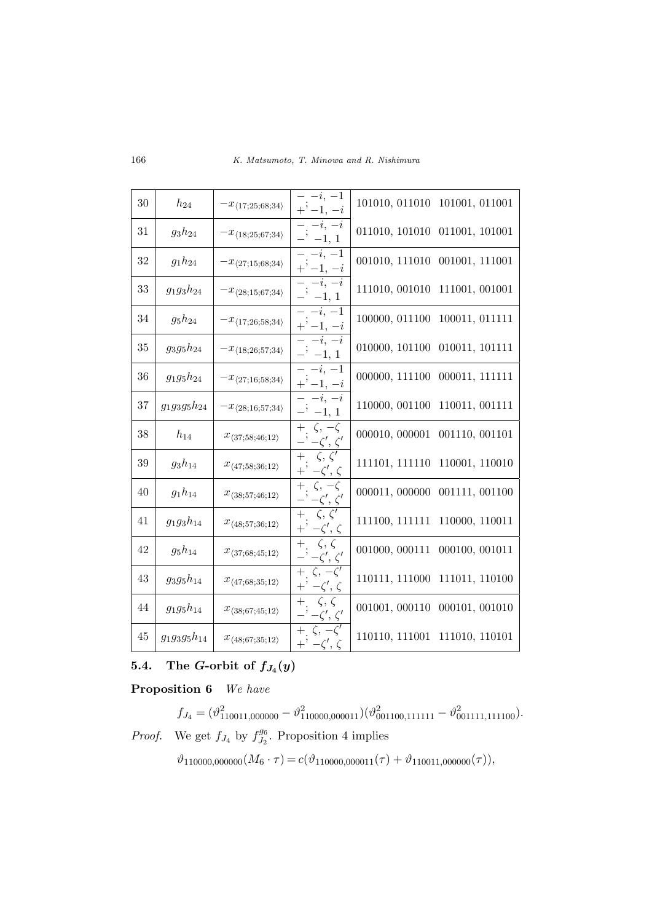| 30 | $h_{24}$          | $-x_{\langle 17;25;68;34\rangle}$     | $-i, -1$<br>$+$ ' $-1, -i$                                               | 101010, 011010<br>101001, 011001 |
|----|-------------------|---------------------------------------|--------------------------------------------------------------------------|----------------------------------|
| 31 | $g_3h_{24}$       | $-x_{\langle 18; 25; 67; 34 \rangle}$ | $-i, -i$<br>$-$ ' $-1, 1$                                                | 011010, 101010<br>011001, 101001 |
| 32 | $g_1 h_{24}$      | $-x_{\langle 27;15;68;34 \rangle}$    | $-i, -1$<br>$+$ ' $-1, -i$                                               | 001010, 111010<br>001001, 111001 |
| 33 | $g_1g_3h_{24}$    | $-x_{\langle 28;15;67;34\rangle}$     | $-i, -i$<br>$-$ <sup>1</sup> $-1, 1$                                     | 111010, 001010<br>111001, 001001 |
| 34 | $g_5h_{24}$       | $-x_{\langle 17;26;58;34\rangle}$     | $-i, -1$<br>$+$ ' $-1, -i$                                               | 100000, 011100<br>100011, 011111 |
| 35 | $g_3g_5h_{24}$    | $-x_{\langle 18; 26; 57; 34 \rangle}$ | $-i, -i$<br>$-$ ' $-1, 1$                                                | 010000, 101100<br>010011, 101111 |
| 36 | $g_1g_5h_{24}$    | $-x_{\langle 27;16;58;34\rangle}$     | $\overline{-i}, -1$<br>$+$ ' $-1, -i$                                    | 000000, 111100<br>000011, 111111 |
| 37 | $g_1g_3g_5h_{24}$ | $-x_{\langle 28;16;57;34\rangle}$     | $-i, -i$<br>$-$ ' $-1, 1$                                                | 110000, 001100<br>110011, 001111 |
| 38 | $h_{14}$          | $x_{\langle 37;58;46;12\rangle}$      | $+ \zeta, -\zeta$<br>$\cdot$ ' $-\zeta', \zeta'$                         | 000010, 000001<br>001110, 001101 |
| 39 | $g_3h_{14}$       | $x_{\langle 47;58;36;12 \rangle}$     | $+$ $\zeta, \zeta'$<br>$+$ ' $-\zeta', \zeta$                            | 111101, 111110<br>110001, 110010 |
| 40 | $g_1 h_{14}$      | $x_{\langle 38;57;46;12 \rangle}$     | $+$ , $\zeta$ , $-\zeta$<br>$-\zeta',\,\zeta'$                           | 000011,000000<br>001111, 001100  |
| 41 | $g_1g_3h_{14}$    | $x_{\langle 48; 57; 36; 12 \rangle}$  | $\zeta,\,\zeta'$<br>$^{+}$<br>$+$ <sup>;</sup> $-\zeta', \zeta$          | 111100, 111111<br>110000, 110011 |
| 42 | $g_5h_{14}$       | $x_{\langle 37;68;45;12 \rangle}$     | $\zeta, \zeta$<br>$+$<br>$-$ ' $-\zeta', \zeta'$                         | 001000, 000111<br>000100, 001011 |
| 43 | $g_3g_5h_{14}$    | $x_{\langle 47;68;35;12 \rangle}$     | $\overline{\zeta, -\zeta'}$<br>$+$<br>$+$ , $-\zeta', \underline{\zeta}$ | 110111, 111000<br>111011, 110100 |
| 44 | $g_1g_5h_{14}$    | $x_{\langle 38; 67; 45; 12 \rangle}$  | $\zeta, \zeta$<br>$^{+}$<br>$-\zeta',\underline{\zeta'}$                 | 001001, 000110<br>000101, 001010 |
| 45 | $g_1g_3g_5h_{14}$ | $x_{\langle 48; 67; 35; 12 \rangle}$  | $+ \zeta, -\overline{\zeta'}$<br>$+$ ' $-\zeta', \zeta$                  | 110110, 111001 111010, 110101    |

# 5.4. The G-orbit of  $f_{J_4}(y)$

Proposition 6 We have

 $f_{J_4} = (\vartheta_{110011,000000}^2 - \vartheta_{110000,000011}^2)(\vartheta_{001100,111111}^2 - \vartheta_{001111,111100}^2).$ *Proof.* We get  $f_{J_4}$  by  $f_{J_2}^{g_6}$  $J_2^{96}$ . Proposition 4 implies

 $\vartheta_{110000,000000}(M_6 \cdot \tau) = c(\vartheta_{110000,000011}(\tau) + \vartheta_{110011,000000}(\tau)),$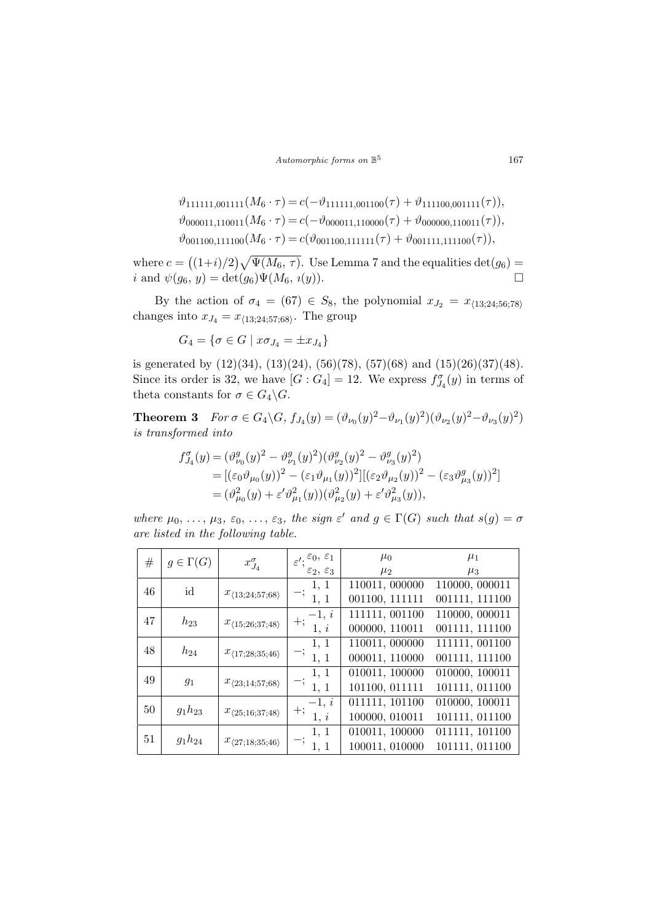Automorphic forms on  $\mathbb{B}^5$ 

$$
\vartheta_{111111,001111}(M_6 \cdot \tau) = c(-\vartheta_{111111,001100}(\tau) + \vartheta_{111100,001111}(\tau)),
$$
  
\n
$$
\vartheta_{000011,110011}(M_6 \cdot \tau) = c(-\vartheta_{000011,110000}(\tau) + \vartheta_{000000,110011}(\tau)),
$$
  
\n
$$
\vartheta_{001100,111100}(M_6 \cdot \tau) = c(\vartheta_{001100,111111}(\tau) + \vartheta_{001111,111100}(\tau)),
$$

where  $c =$ ¡  $(1+i)/2$  $\sqrt{q}$  $\Psi(M_6, \tau)$ . Use Lemma 7 and the equalities  $\det(g_6)$  = i and  $\psi(g_6, y) = \det(g_6)\Psi(M_6, i(y)).$ 

By the action of  $\sigma_4 = (67) \in S_8$ , the polynomial  $x_{J_2} = x_{\langle 13; 24; 56; 78 \rangle}$ changes into  $x_{J_4} = x_{\langle 13; 24; 57; 68 \rangle}$ . The group

$$
G_4 = \{ \sigma \in G \mid x \sigma_{J_4} = \pm x_{J_4} \}
$$

is generated by  $(12)(34)$ ,  $(13)(24)$ ,  $(56)(78)$ ,  $(57)(68)$  and  $(15)(26)(37)(48)$ . Since its order is 32, we have  $[G:G_4]=12$ . We express  $f_{J_4}^{\sigma}(y)$  in terms of theta constants for  $\sigma \in G_4 \backslash G$ .

**Theorem 3**  $For \sigma \in G_4 \backslash G$ ,  $f_{J_4}(y) = (\vartheta_{\nu_0}(y)^2 - \vartheta_{\nu_1}(y)^2)(\vartheta_{\nu_2}(y)^2 - \vartheta_{\nu_3}(y)^2)$ is transformed into

$$
f_{J_4}^{\sigma}(y) = (\vartheta_{\nu_0}^g(y)^2 - \vartheta_{\nu_1}^g(y)^2)(\vartheta_{\nu_2}^g(y)^2 - \vartheta_{\nu_3}^g(y)^2)
$$
  
= 
$$
[(\varepsilon_0 \vartheta_{\mu_0}(y))^2 - (\varepsilon_1 \vartheta_{\mu_1}(y))^2][( \varepsilon_2 \vartheta_{\mu_2}(y))^2 - (\varepsilon_3 \vartheta_{\mu_3}^g(y))^2]
$$
  
= 
$$
(\vartheta_{\mu_0}^2(y) + \varepsilon' \vartheta_{\mu_1}^2(y))(\vartheta_{\mu_2}^2(y) + \varepsilon' \vartheta_{\mu_3}^2(y)),
$$

where  $\mu_0, \ldots, \mu_3, \varepsilon_0, \ldots, \varepsilon_3$ , the sign  $\varepsilon'$  and  $g \in \Gamma(G)$  such that  $s(g) = \sigma$ are listed in the following table.

| #      | $g \in \Gamma(G)$ | $x_{J_4}^{\sigma}$                   | $\varepsilon^{\prime};{}^{\varepsilon_0,\;\varepsilon_1}$ | $\mu_0$        | $\mu_1$        |
|--------|-------------------|--------------------------------------|-----------------------------------------------------------|----------------|----------------|
|        |                   |                                      | $\varepsilon_2, \, \varepsilon_3$                         | $\mu_2$        | $\mu_3$        |
| 46     | id                |                                      | 1, 1                                                      | 110011, 000000 | 110000, 000011 |
|        |                   | $x_{\langle 13; 24; 57; 68 \rangle}$ | 1, 1                                                      | 001100, 111111 | 001111, 111100 |
| 47     |                   |                                      | $-1, i$                                                   | 111111, 001100 | 110000, 000011 |
|        | $h_{23}$          | $x_{\langle 15;26;37;48\rangle}$     | $+;$<br>1, i                                              | 000000, 110011 | 001111, 111100 |
| 48     |                   |                                      | 1, 1                                                      | 110011, 000000 | 111111, 001100 |
|        | $h_{24}$          | $x_{\langle 17;28;35;46 \rangle}$    | 1, 1                                                      | 000011, 110000 | 001111, 111100 |
| 49     |                   |                                      | 1, 1                                                      | 010011, 100000 | 010000, 100011 |
|        | $g_1$             | $x_{\langle 23;14;57;68\rangle}$     | 1, 1                                                      | 101100, 011111 | 101111, 011100 |
|        |                   |                                      | $-1, i$                                                   | 011111, 101100 | 010000, 100011 |
| 50     | $g_1h_{23}$       | $x_{\langle 25;16;37;48\rangle}$     | $+;$<br>1, i                                              | 100000, 010011 | 101111, 011100 |
|        |                   |                                      | 1, 1                                                      | 010011, 100000 | 011111, 101100 |
| $51\,$ | $g_1h_{24}$       | $x_{\langle 27;18;35;46 \rangle}$    | 1, 1                                                      | 100011, 010000 | 101111, 011100 |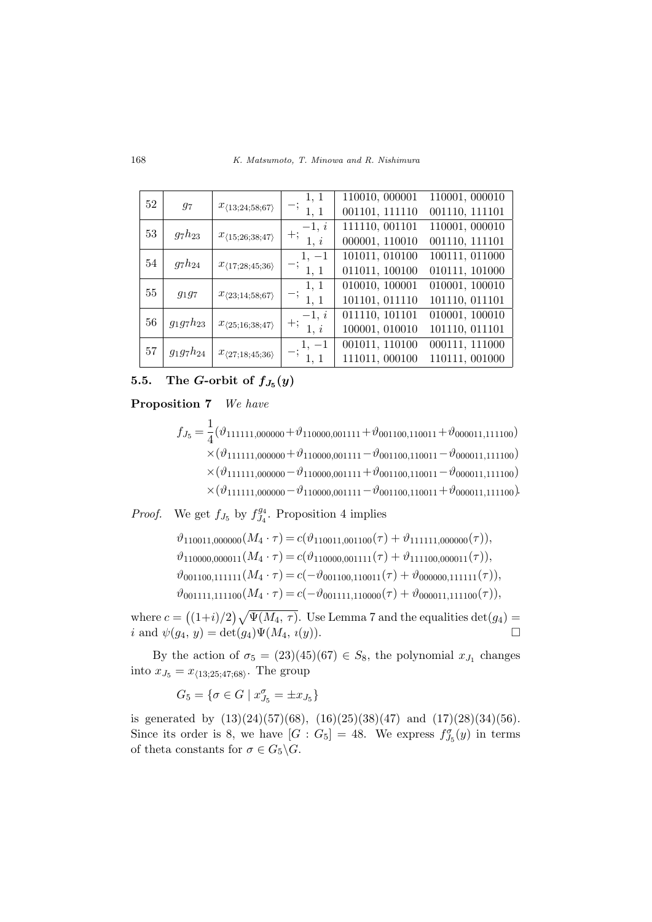K. Matsumoto, T. Minowa and R. Nishimura

| 52 |                |                                      | 1, 1          | 110010, 000001 | 110001, 000010 |
|----|----------------|--------------------------------------|---------------|----------------|----------------|
|    | 97             | $x_{\langle 13; 24; 58; 67 \rangle}$ | 1, 1          | 001101, 111110 | 001110, 111101 |
| 53 |                |                                      | $-1, i$       | 111110, 001101 | 110001, 000010 |
|    | $g_7h_{23}$    | $x_{\langle 15;26;38;47 \rangle}$    | $+;$<br>1, i  | 000001, 110010 | 001110, 111101 |
| 54 |                |                                      | $1, -1$       | 101011, 010100 | 100111, 011000 |
|    | $g_7h_{24}$    | $x_{\langle 17;28;45;36 \rangle}$    | 1, 1          | 011011, 100100 | 010111, 101000 |
| 55 |                |                                      | 1, 1          | 010010, 100001 | 010001, 100010 |
|    | $g_{1}g_{7}$   | $x_{\langle 23;14;58;67 \rangle}$    | $- ,$<br>1, 1 | 101101, 011110 | 101110, 011101 |
| 56 |                |                                      | $-1, i$       | 011110, 101101 | 010001, 100010 |
|    | $g_1g_7h_{23}$ | $x_{\langle 25;16;38;47 \rangle}$    | $+;$<br>1, i  | 100001, 010010 | 101110, 011101 |
| 57 |                |                                      | $1, -1$       | 001011, 110100 | 000111, 111000 |
|    | $g_1g_7h_{24}$ | $x_{\langle 27;18;45;36 \rangle}$    | 1, 1          | 111011, 000100 | 110111, 001000 |

# 5.5. The G-orbit of  $f_{J_5}(y)$

Proposition 7 We have

$$
f_{J_5} = \frac{1}{4} (\vartheta_{111111,000000} + \vartheta_{110000,001111} + \vartheta_{001100,110011} + \vartheta_{000011,111100})
$$
  
\n
$$
\times (\vartheta_{111111,000000} + \vartheta_{110000,001111} - \vartheta_{001100,110011} - \vartheta_{000011,111100})
$$
  
\n
$$
\times (\vartheta_{111111,000000} - \vartheta_{110000,001111} + \vartheta_{001100,110011} - \vartheta_{000011,111100})
$$
  
\n
$$
\times (\vartheta_{111111,000000} - \vartheta_{110000,001111} - \vartheta_{001100,110011} + \vartheta_{000011,111100})
$$

*Proof.* We get  $f_{J_5}$  by  $f_{J_4}^{g_4}$  $J_4^{\{g_4\}}$ . Proposition 4 implies

> $\vartheta_{110011,000000}(M_4 \cdot \tau) = c(\vartheta_{110011,001100}(\tau) + \vartheta_{111111,000000}(\tau)),$  $\vartheta_{110000,000011}(M_4 \cdot \tau) = c(\vartheta_{110000,001111}(\tau) + \vartheta_{111100,000011}(\tau)),$  $\vartheta_{001100,111111}(M_4 \cdot \tau) = c(-\vartheta_{001100,110011}(\tau) + \vartheta_{000000,111111}(\tau)),$  $\vartheta_{001111,111100}(M_4 \cdot \tau) = c(-\vartheta_{001111,110000}(\tau) + \vartheta_{000011,111100}(\tau)),$

where  $c =$ ¡  $(1+i)/2$  $\sqrt{q}$  $\Psi(M_4, \tau)$ . Use Lemma 7 and the equalities  $\det(g_4)$  = i and  $\psi(g_4, y) = \det(g_4)\Psi(M_4, i(y)).$ 

By the action of  $\sigma_5 = (23)(45)(67) \in S_8$ , the polynomial  $x_{J_1}$  changes into  $x_{J_5} = x_{\langle 13; 25; 47; 68 \rangle}$ . The group

 $G_5 = \{ \sigma \in G \mid x_{J_5}^{\sigma} = \pm x_{J_5} \}$ 

is generated by  $(13)(24)(57)(68)$ ,  $(16)(25)(38)(47)$  and  $(17)(28)(34)(56)$ . Since its order is 8, we have  $[G: G_5] = 48$ . We express  $f_{J_5}^{\sigma}(y)$  in terms of theta constants for  $\sigma \in G_5 \backslash G$ .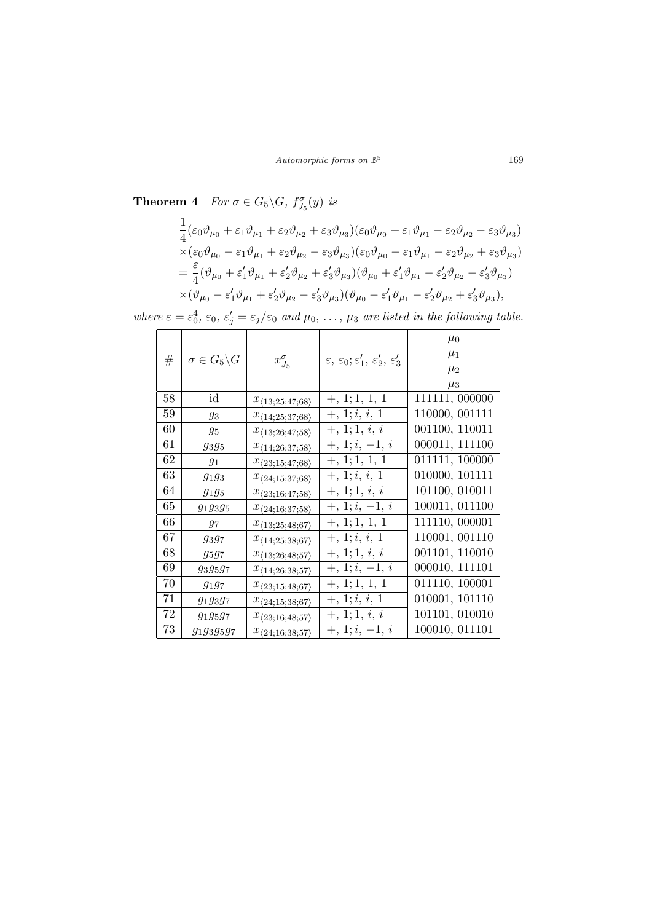**Theorem 4** For  $\sigma \in G_5 \backslash G$ ,  $f_{J_5}^{\sigma}(y)$  is

$$
\begin{split}\n&\frac{1}{4}(\varepsilon_{0}\vartheta_{\mu_{0}}+\varepsilon_{1}\vartheta_{\mu_{1}}+\varepsilon_{2}\vartheta_{\mu_{2}}+\varepsilon_{3}\vartheta_{\mu_{3}})(\varepsilon_{0}\vartheta_{\mu_{0}}+\varepsilon_{1}\vartheta_{\mu_{1}}-\varepsilon_{2}\vartheta_{\mu_{2}}-\varepsilon_{3}\vartheta_{\mu_{3}}) \\
&\times(\varepsilon_{0}\vartheta_{\mu_{0}}-\varepsilon_{1}\vartheta_{\mu_{1}}+\varepsilon_{2}\vartheta_{\mu_{2}}-\varepsilon_{3}\vartheta_{\mu_{3}})(\varepsilon_{0}\vartheta_{\mu_{0}}-\varepsilon_{1}\vartheta_{\mu_{1}}-\varepsilon_{2}\vartheta_{\mu_{2}}+\varepsilon_{3}\vartheta_{\mu_{3}}) \\
&=\frac{\varepsilon}{4}(\vartheta_{\mu_{0}}+\varepsilon'_{1}\vartheta_{\mu_{1}}+\varepsilon'_{2}\vartheta_{\mu_{2}}+\varepsilon'_{3}\vartheta_{\mu_{3}})(\vartheta_{\mu_{0}}+\varepsilon'_{1}\vartheta_{\mu_{1}}-\varepsilon'_{2}\vartheta_{\mu_{2}}-\varepsilon'_{3}\vartheta_{\mu_{3}}) \\
&\times(\vartheta_{\mu_{0}}-\varepsilon'_{1}\vartheta_{\mu_{1}}+\varepsilon'_{2}\vartheta_{\mu_{2}}-\varepsilon'_{3}\vartheta_{\mu_{3}})(\vartheta_{\mu_{0}}-\varepsilon'_{1}\vartheta_{\mu_{1}}-\varepsilon'_{2}\vartheta_{\mu_{2}}+\varepsilon'_{3}\vartheta_{\mu_{3}}),\n\end{split}
$$

where  $\varepsilon = \varepsilon_0^4$ ,  $\varepsilon_0$ ,  $\varepsilon'_j = \varepsilon_j/\varepsilon_0$  and  $\mu_0$ , ...,  $\mu_3$  are listed in the following table.

| #  | $\sigma \in G_5 \backslash G$ | $x_{J_5}^{\sigma}$                   | $\varepsilon, \varepsilon_0; \varepsilon_1', \varepsilon_2', \varepsilon_3'$ | $\mu_0$<br>$\mu_1$ |
|----|-------------------------------|--------------------------------------|------------------------------------------------------------------------------|--------------------|
|    |                               |                                      |                                                                              | $\mu_2$<br>$\mu_3$ |
|    |                               |                                      |                                                                              |                    |
| 58 | id                            | $x_{\langle 13; 25; 47; 68 \rangle}$ | $+, 1; 1, 1, 1$                                                              | 111111, 000000     |
| 59 | 93                            | $x_{\langle 14; 25; 37; 68 \rangle}$ | $+, 1; i, i, 1$                                                              | 110000, 001111     |
| 60 | $g_5$                         | $x_{\langle 13; 26; 47; 58 \rangle}$ | $+, 1; 1, i, i$                                                              | 001100, 110011     |
| 61 | $g_3g_5$                      | $x_{\langle 14; 26; 37; 58 \rangle}$ | $+, 1; i, -1, i$                                                             | 000011, 111100     |
| 62 | $g_1$                         | $x_{\langle 23;15;47;68 \rangle}$    | $+, 1; 1, 1, 1$                                                              | 011111, 100000     |
| 63 | $g_1g_3$                      | $x_{\langle 24;15;37;68 \rangle}$    | $+, 1; i, i, 1$                                                              | 010000, 101111     |
| 64 | $g_1g_5$                      | $x_{\langle 23;16;47;58\rangle}$     | $+, 1; 1, i, i$                                                              | 101100, 010011     |
| 65 | $g_1g_3g_5$                   | $x_{\langle 24;16;37;58\rangle}$     | $+, 1; i, -1, i$                                                             | 100011, 011100     |
| 66 | 97                            | $x_{\langle 13;25;48;67\rangle}$     | $+, 1; 1, 1, 1$                                                              | 111110, 000001     |
| 67 | $g_3g_7$                      | $x_{\langle 14;25;38;67\rangle}$     | $+, 1; i, i, 1$                                                              | 110001, 001110     |
| 68 | $g_5g_7$                      | $x_{\langle 13; 26; 48; 57 \rangle}$ | $+, 1; 1, i, i$                                                              | 001101, 110010     |
| 69 | 93.95.97                      | $x_{\langle 14; 26; 38; 57 \rangle}$ | $+, 1; i, -1, i$                                                             | 000010, 111101     |
| 70 | $g_1g_7$                      | $x_{\langle 23;15;48;67\rangle}$     | $+, 1; 1, 1, 1$                                                              | 011110, 100001     |
| 71 | $g_1g_3g_7$                   | $x_{\langle 24;15;38;67 \rangle}$    | $+, 1; i, i, 1$                                                              | 010001, 101110     |
| 72 | $g_1g_5g_7$                   | $x_{\langle 23;16;48;57\rangle}$     | $+, 1; 1, i, i$                                                              | 101101, 010010     |
| 73 | $g_1g_3g_5g_7$                | $x_{\langle 24;16;38;57\rangle}$     | $+, 1; i, -1, i$                                                             | 100010, 011101     |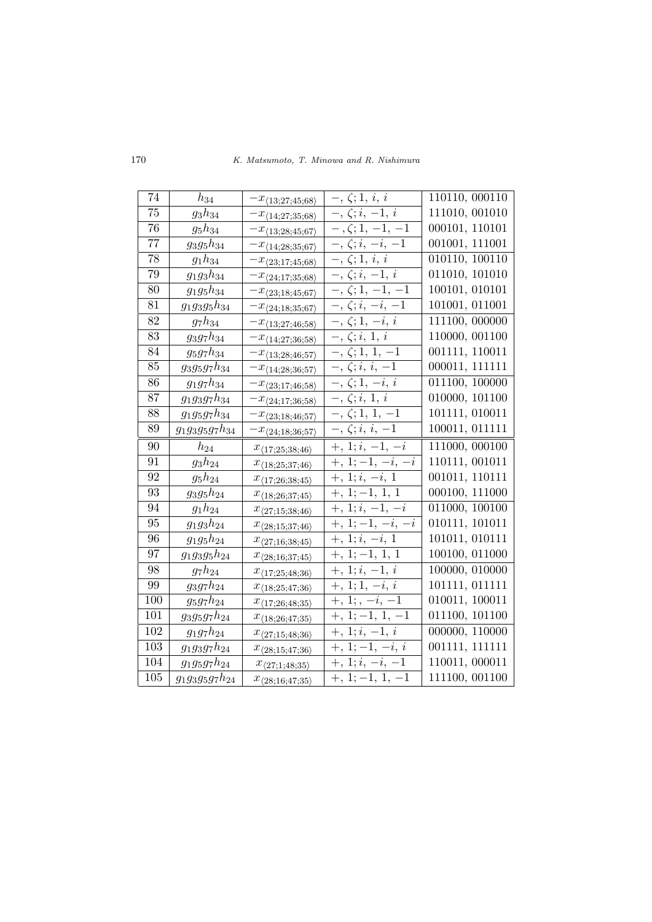K. Matsumoto, T. Minowa and R. Nishimura

| 74              | $h_{34}$             | $-x_{\langle 13; 27; 45; 68 \rangle}$                                     | $-,\,\zeta;1,\,i,\,i$                                     | 110110, 000110 |
|-----------------|----------------------|---------------------------------------------------------------------------|-----------------------------------------------------------|----------------|
| 75              | $g_3h_{34}$          | $-x_{\langle 14;27;35;68\rangle}$                                         | $-$ , $\zeta$ ; $i$ , $-1$ , $i$                          | 111010, 001010 |
| 76              | $g_5h_{34}$          | $-x_{\langle 13; 28; 45; 67 \rangle}$                                     | $-$ , $\zeta$ ; 1, $-1$ , $-1$                            | 000101, 110101 |
| 77              | $g_3g_5h_{34}$       | $-x_{\langle 14; 28; 35; 67 \rangle}$                                     | $-$ , $\zeta$ ; $i, -i, -1$                               | 001001, 111001 |
| 78              | $g_1h_{34}$          | $-x_{\langle 23;17;45;68 \rangle}$                                        | $\overline{-}, \overline{\zeta}$ ; 1, <i>i</i> , <i>i</i> | 010110, 100110 |
| 79              | $g_1g_3h_{34}$       | $-x_{\langle 24;17;35;68 \rangle}$                                        | $-$ , $\zeta$ ; $i$ , $-1$ , $i$                          | 011010, 101010 |
| 80              | $g_1g_5h_{34}$       | $-x_{\langle 23;18;45;67 \rangle}$                                        | $-$ , $\zeta$ ; 1, $-1$ , $-1$                            | 100101, 010101 |
| $\overline{81}$ | $g_1g_3g_5h_{34}$    | $-x_{\langle 24;18;35;67 \rangle}$                                        | $-$ , $\zeta$ ; $i$ , $-\overline{i}$ , $\overline{-1}$   | 101001, 011001 |
| 82              | $g_7h_{34}$          | $-x_{\langle 13; 27; 46; 58 \rangle}$                                     | $-$ , $\zeta$ ; 1, $-i$ , i                               | 111100, 000000 |
| 83              | $g_3g_7h_{34}$       | $-x_{\langle 14; 27; 36; 58 \rangle}$                                     | $-$ , $\zeta$ ; <i>i</i> , 1, <i>i</i>                    | 110000, 001100 |
| 84              | $g_5g_7h_{34}$       | $-x_{\langle 13;28;46;57 \rangle}$                                        | $-$ , $\zeta$ ; $1, 1, -1$                                | 001111, 110011 |
| 85              | $g_3g_5g_7h_{34}$    | $-x_{\langle 14; 28; 36; 57 \rangle}$                                     | $-$ , $\zeta$ ; $i$ , $i$ , $\overline{-1}$               | 000011, 111111 |
| 86              | $g_1g_7h_{34}$       | $-x_{\langle 23;17;46;58 \rangle}$                                        | $-$ , $\zeta$ ; 1, $-i$ , i                               | 011100, 100000 |
| 87              | $g_1g_3g_7h_{34}$    | $-x_{\langle 24;17;36;58 \rangle}$                                        | $-$ , $\zeta$ ; $i$ , $1$ , $i$                           | 010000, 101100 |
| 88              | $g_1g_5g_7h_{34}$    | $-x_{\langle 23;18;46;57 \rangle}$                                        | $-$ , $\zeta$ ; 1, 1, $\overline{-1}$                     | 101111, 010011 |
| 89              | $g_1g_3g_5g_7h_{34}$ | $-x_{\langle 24;18;36;57 \rangle}$                                        | $-$ , $\zeta$ ; $i$ , $i$ , $-1$                          | 100011, 011111 |
|                 |                      |                                                                           |                                                           |                |
| 90              | $h_{24}$             | $x_{\langle 17;25;38;46\rangle}$                                          | $+, 1; i, -1, -i$                                         | 111000, 000100 |
| 91              | $g_3h_{24}$          | $x_{\langle 18; 25; 37; 46 \rangle}$                                      | $+, 1; -1, -i, -i$                                        | 110111, 001011 |
| 92              | $g_5h_{24}$          |                                                                           | $+, 1; i, -i, 1$                                          | 001011, 110111 |
| 93              | $g_3g_5h_{24}$       | $x_{\langle 17;26;38;45 \rangle}$<br>$x_{\langle 18; 26; 37; 45 \rangle}$ | $+, 1; -1, 1, 1$                                          | 000100, 111000 |
| 94              | $g_1h_{24}$          | $x_{\langle 27;15;38;46 \rangle}$                                         | $+, 1; i, -1, -i$                                         | 011000, 100100 |
| 95              | $g_1g_3h_{24}$       | $x_{\langle 28;15;37;46\rangle}$                                          | $+, 1; -1, -i, -i$                                        | 010111, 101011 |
| 96              | $g_1g_5h_{24}$       | $x_{\langle 27;16;38;45 \rangle}$                                         | $+, 1; i, -i, 1$                                          | 101011, 010111 |
| 97              | $g_1g_3g_5h_{24}$    | $x_{\langle 28;16;37;45 \rangle}$                                         | $+, 1; -1, \overline{1, 1}$                               | 100100, 011000 |
| 98              | $g_7h_{24}$          |                                                                           | $+, 1; i, -1, i$                                          | 100000, 010000 |
| 99              | $g_3g_7h_{24}$       | $x_{\langle 17;25;48;36 \rangle}$<br>$x_{\langle 18; 25; 47; 36 \rangle}$ | $+, 1; 1, -i, i$                                          | 101111, 011111 |
| 100             | $g_5g_7h_{24}$       |                                                                           | $+, 1; , -i, -1$                                          | 010011, 100011 |
| 101             | $g_3g_5g_7h_{24}$    | $x_{\langle 17;26;48;35 \rangle}$<br>$x_{\langle 18; 26; 47; 35 \rangle}$ | $+, 1; -1, 1, -1$                                         | 011100, 101100 |
| 102             | $g_1g_7h_{24}$       | $x_{\langle 27;15;48;36 \rangle}$                                         | $+, 1; i, -1, i$                                          | 000000, 110000 |
| 103             | $g_1g_3g_7h_{24}$    | $x_{\langle 28;15;47;36 \rangle}$                                         | $+, 1; -1, -i, i$                                         | 001111, 111111 |
| 104             | $g_1g_5g_7h_{24}$    | $x_{\langle 27;1;48;35 \rangle}$                                          | $+, 1; i, -i, -1$                                         | 110011, 000011 |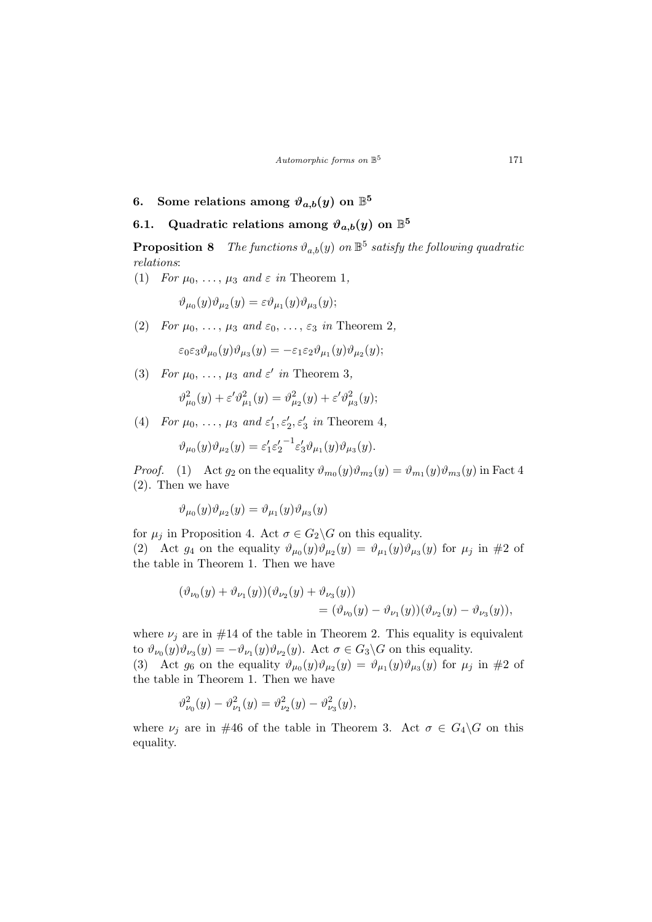# 6. Some relations among  $\vartheta_{a,b}(y)$  on  $\mathbb{B}^5$

# 6.1. Quadratic relations among  $\vartheta_{a,b}(y)$  on  $\mathbb{B}^5$

**Proposition 8** The functions  $\vartheta_{a,b}(y)$  on  $\mathbb{B}^5$  satisfy the following quadratic relations:

(1) For  $\mu_0, \ldots, \mu_3$  and  $\varepsilon$  in Theorem 1,

$$
\vartheta_{\mu_0}(y)\vartheta_{\mu_2}(y)=\varepsilon\vartheta_{\mu_1}(y)\vartheta_{\mu_3}(y);
$$

(2) For  $\mu_0, \ldots, \mu_3$  and  $\varepsilon_0, \ldots, \varepsilon_3$  in Theorem 2,

$$
\varepsilon_0\varepsilon_3\vartheta_{\mu_0}(y)\vartheta_{\mu_3}(y)=-\varepsilon_1\varepsilon_2\vartheta_{\mu_1}(y)\vartheta_{\mu_2}(y);
$$

(3) For  $\mu_0, \ldots, \mu_3$  and  $\varepsilon'$  in Theorem 3,

$$
\vartheta_{\mu_0}^2(y) + \varepsilon' \vartheta_{\mu_1}^2(y) = \vartheta_{\mu_2}^2(y) + \varepsilon' \vartheta_{\mu_3}^2(y);
$$

(4) For  $\mu_0, \ldots, \mu_3$  and  $\varepsilon'_1, \varepsilon'_2, \varepsilon'_3$  in Theorem 4,

$$
\vartheta_{\mu_0}(y)\vartheta_{\mu_2}(y) = \varepsilon_1' \varepsilon_2'^{-1} \varepsilon_3' \vartheta_{\mu_1}(y)\vartheta_{\mu_3}(y).
$$

*Proof.* (1) Act  $g_2$  on the equality  $\vartheta_{m_0}(y)\vartheta_{m_2}(y) = \vartheta_{m_1}(y)\vartheta_{m_3}(y)$  in Fact 4 (2). Then we have

$$
\vartheta_{\mu_0}(y)\vartheta_{\mu_2}(y)=\vartheta_{\mu_1}(y)\vartheta_{\mu_3}(y)
$$

for  $\mu_i$  in Proposition 4. Act  $\sigma \in G_2 \backslash G$  on this equality. (2) Act  $g_4$  on the equality  $\vartheta_{\mu_0}(y)\vartheta_{\mu_2}(y) = \vartheta_{\mu_1}(y)\vartheta_{\mu_3}(y)$  for  $\mu_j$  in #2 of the table in Theorem 1. Then we have

$$
(\vartheta_{\nu_0}(y) + \vartheta_{\nu_1}(y))(\vartheta_{\nu_2}(y) + \vartheta_{\nu_3}(y)) = (\vartheta_{\nu_0}(y) - \vartheta_{\nu_1}(y))(\vartheta_{\nu_2}(y) - \vartheta_{\nu_3}(y)),
$$

where  $\nu_i$  are in #14 of the table in Theorem 2. This equality is equivalent to  $\vartheta_{\nu_0}(y)\vartheta_{\nu_3}(y)=-\vartheta_{\nu_1}(y)\vartheta_{\nu_2}(y)$ . Act  $\sigma\in G_3\backslash G$  on this equality.

(3) Act  $g_6$  on the equality  $\vartheta_{\mu_0}(y)\vartheta_{\mu_2}(y) = \vartheta_{\mu_1}(y)\vartheta_{\mu_3}(y)$  for  $\mu_j$  in #2 of the table in Theorem 1. Then we have

$$
\vartheta_{\nu_0}^2(y) - \vartheta_{\nu_1}^2(y) = \vartheta_{\nu_2}^2(y) - \vartheta_{\nu_3}^2(y),
$$

where  $\nu_i$  are in #46 of the table in Theorem 3. Act  $\sigma \in G_4 \backslash G$  on this equality.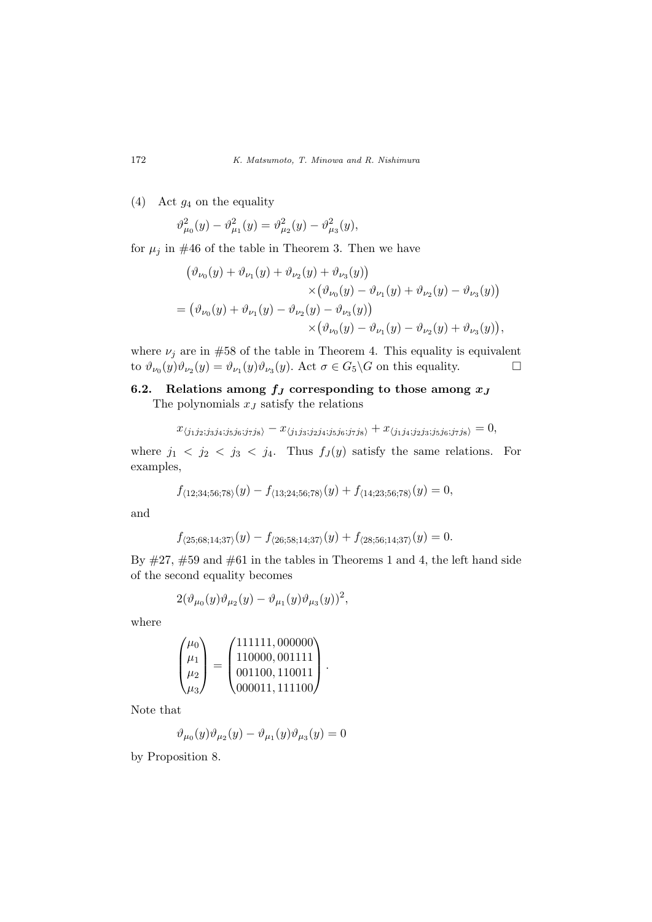(4) Act  $g_4$  on the equality

$$
\vartheta_{\mu_0}^2(y) - \vartheta_{\mu_1}^2(y) = \vartheta_{\mu_2}^2(y) - \vartheta_{\mu_3}^2(y),
$$

for  $\mu_j$  in #46 of the table in Theorem 3. Then we have

$$
(\vartheta_{\nu_0}(y) + \vartheta_{\nu_1}(y) + \vartheta_{\nu_2}(y) + \vartheta_{\nu_3}(y)) \times (\vartheta_{\nu_0}(y) - \vartheta_{\nu_1}(y) + \vartheta_{\nu_2}(y) - \vartheta_{\nu_3}(y)) = (\vartheta_{\nu_0}(y) + \vartheta_{\nu_1}(y) - \vartheta_{\nu_2}(y) - \vartheta_{\nu_3}(y)) \times (\vartheta_{\nu_0}(y) - \vartheta_{\nu_1}(y) - \vartheta_{\nu_2}(y) + \vartheta_{\nu_3}(y)),
$$

where  $\nu_i$  are in #58 of the table in Theorem 4. This equality is equivalent to  $\vartheta_{\nu_0}(y)\vartheta_{\nu_2}(y) = \vartheta_{\nu_1}(y)\vartheta_{\nu_3}(y)$ . Act  $\sigma \in G_5 \backslash G$  on this equality.

# 6.2. Relations among  $f_J$  corresponding to those among  $x_J$

The polynomials  $x_J$  satisfy the relations

$$
x_{\langle j_1 j_2; j_3 j_4; j_5 j_6; j_7 j_8 \rangle} - x_{\langle j_1 j_3; j_2 j_4; j_5 j_6; j_7 j_8 \rangle} + x_{\langle j_1 j_4; j_2 j_3; j_5 j_6; j_7 j_8 \rangle} = 0,
$$

where  $j_1 < j_2 < j_3 < j_4$ . Thus  $f_J(y)$  satisfy the same relations. For examples,

$$
f_{\langle 12;34;56;78 \rangle}(y) - f_{\langle 13;24;56;78 \rangle}(y) + f_{\langle 14;23;56;78 \rangle}(y) = 0,
$$

and

$$
f_{\langle 25;68;14;37\rangle}(y) - f_{\langle 26;58;14;37\rangle}(y) + f_{\langle 28;56;14;37\rangle}(y) = 0.
$$

By  $\#27$ ,  $\#59$  and  $\#61$  in the tables in Theorems 1 and 4, the left hand side of the second equality becomes

$$
2(\vartheta_{\mu_0}(y)\vartheta_{\mu_2}(y)-\vartheta_{\mu_1}(y)\vartheta_{\mu_3}(y))^2,
$$

where

$$
\begin{pmatrix} \mu_0 \\ \mu_1 \\ \mu_2 \\ \mu_3 \end{pmatrix} = \begin{pmatrix} 111111,000000 \\ 110000,001111 \\ 001100,110011 \\ 000011,111100 \end{pmatrix}.
$$

Note that

$$
\vartheta_{\mu_0}(y)\vartheta_{\mu_2}(y) - \vartheta_{\mu_1}(y)\vartheta_{\mu_3}(y) = 0
$$

by Proposition 8.